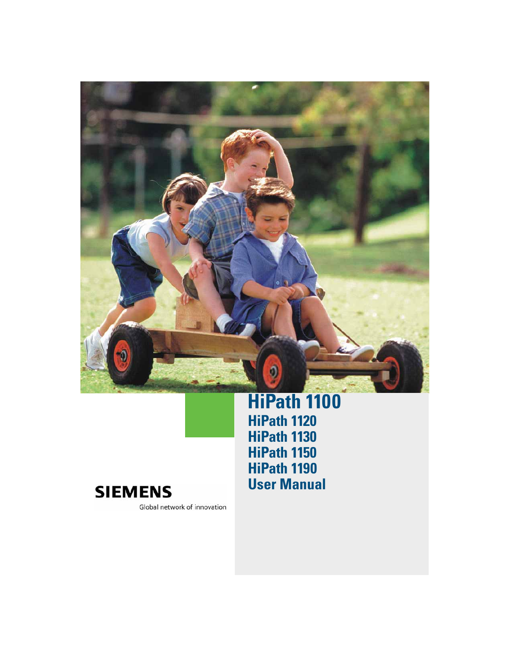

## **HiPath 1100 HiPath 1120 HiPath 1130 HiPath 1150 HiPath 1190 User Manual**



Global network of innovation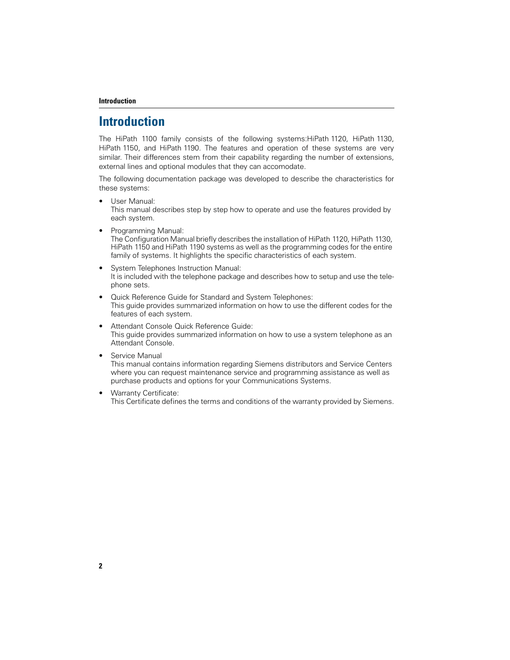#### **Introduction**

## **Introduction**

The HiPath 1100 family consists of the following systems:HiPath 1120, HiPath 1130, HiPath 1150, and HiPath 1190. The features and operation of these systems are very similar. Their differences stem from their capability regarding the number of extensions, external lines and optional modules that they can accomodate.

The following documentation package was developed to describe the characteristics for these systems:

- User Manual: This manual describes step by step how to operate and use the features provided by each system.
- Programming Manual: The Configuration Manual briefly describes the installation of HiPath 1120, HiPath 1130, HiPath 1150 and HiPath 1190 systems as well as the programming codes for the entire family of systems. It highlights the specific characteristics of each system.
- System Telephones Instruction Manual: It is included with the telephone package and describes how to setup and use the telephone sets.
- Quick Reference Guide for Standard and System Telephones: This guide provides summarized information on how to use the different codes for the features of each system.
- Attendant Console Quick Reference Guide: This guide provides summarized information on how to use a system telephone as an Attendant Console.
- Service Manual

This manual contains information regarding Siemens distributors and Service Centers where you can request maintenance service and programming assistance as well as purchase products and options for your Communications Systems.

• Warranty Certificate: This Certificate defines the terms and conditions of the warranty provided by Siemens.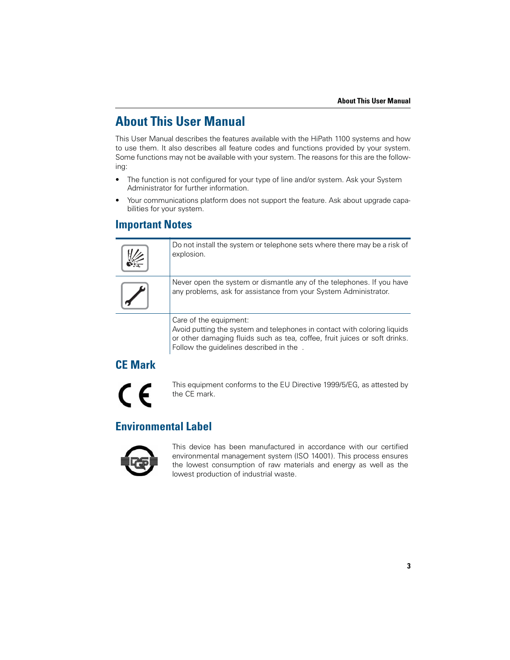## **About This User Manual**

This User Manual describes the features available with the HiPath 1100 systems and how to use them. It also describes all feature codes and functions provided by your system. Some functions may not be available with your system. The reasons for this are the following:

- The function is not configured for your type of line and/or system. Ask your System Administrator for further information.
- Your communications platform does not support the feature. Ask about upgrade capabilities for your system.

#### **Important Notes**

Do not install the system or telephone sets where there may be a risk of explosion.



Never open the system or dismantle any of the telephones. If you have any problems, ask for assistance from your System Administrator.

Care of the equipment:

Avoid putting the system and telephones in contact with coloring liquids or other damaging fluids such as tea, coffee, fruit juices or soft drinks. Follow the guidelines described in the .

## **CE Mark**

 $\epsilon$ 

This equipment conforms to the EU Directive 1999/5/EG, as attested by the CE mark.

## **Environmental Label**



This device has been manufactured in accordance with our certified environmental management system (ISO 14001). This process ensures the lowest consumption of raw materials and energy as well as the lowest production of industrial waste.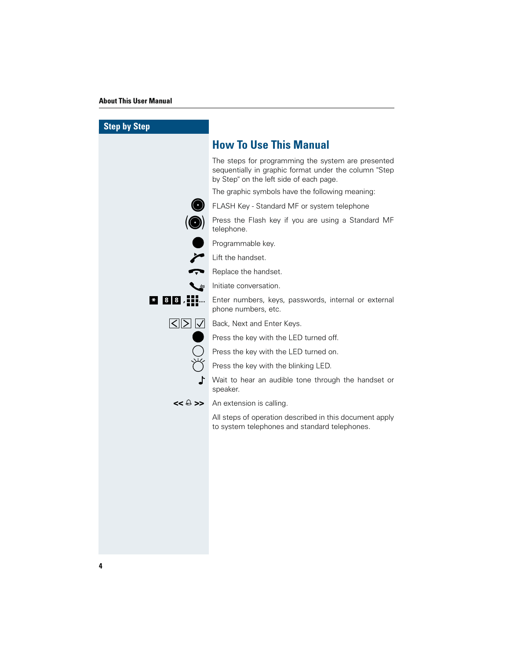#### **About This User Manual**

| <b>Step by Step</b>              |                                                                                                                                                        |
|----------------------------------|--------------------------------------------------------------------------------------------------------------------------------------------------------|
|                                  | <b>How To Use This Manual</b>                                                                                                                          |
|                                  | The steps for programming the system are presented<br>sequentially in graphic format under the column "Step<br>by Step" on the left side of each page. |
|                                  | The graphic symbols have the following meaning:                                                                                                        |
|                                  | FLASH Key - Standard MF or system telephone                                                                                                            |
| $\left( \bigodot \right)$        | Press the Flash key if you are using a Standard MF<br>telephone.                                                                                       |
|                                  | Programmable key.                                                                                                                                      |
|                                  | Lift the handset.                                                                                                                                      |
|                                  |                                                                                                                                                        |
|                                  | Initiate conversation.                                                                                                                                 |
| $*$ 8 8 $;$ $\pm$ $\pm$ $\ldots$ | Enter numbers, keys, passwords, internal or external<br>phone numbers, etc.                                                                            |
| $\leq$ $\geq$ $\leq$             | Back, Next and Enter Keys.                                                                                                                             |
|                                  | Press the key with the LED turned off.                                                                                                                 |
|                                  | Press the key with the LED turned on.                                                                                                                  |
|                                  | Press the key with the blinking LED.                                                                                                                   |
|                                  | Wait to hear an audible tone through the handset or<br>speaker.                                                                                        |
|                                  | << & >> An extension is calling.                                                                                                                       |
|                                  | All steps of operation described in this document apply<br>to system telephones and standard telephones.                                               |
|                                  |                                                                                                                                                        |
|                                  |                                                                                                                                                        |
|                                  |                                                                                                                                                        |
|                                  |                                                                                                                                                        |
|                                  |                                                                                                                                                        |
|                                  |                                                                                                                                                        |
|                                  |                                                                                                                                                        |
|                                  |                                                                                                                                                        |

**4**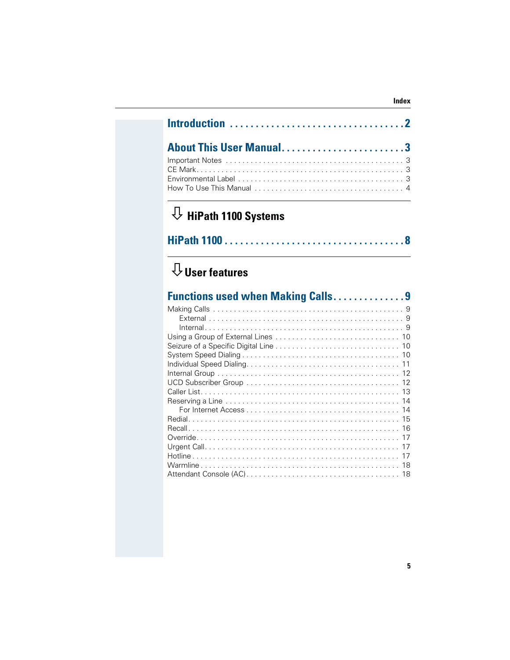| About This User Manual3 |  |
|-------------------------|--|
|                         |  |

# $\overline{\mathcal{V}}$  HiPath 1100 Systems

|--|--|--|--|

# $\overline{\mathbb{Q}}$  User features

| <b>Functions used when Making Calls9</b> |    |
|------------------------------------------|----|
|                                          |    |
|                                          |    |
|                                          |    |
|                                          |    |
|                                          |    |
|                                          |    |
|                                          |    |
|                                          |    |
|                                          |    |
|                                          |    |
|                                          |    |
|                                          |    |
|                                          |    |
|                                          |    |
|                                          |    |
|                                          |    |
|                                          | 17 |
|                                          | 18 |
|                                          | 18 |

Index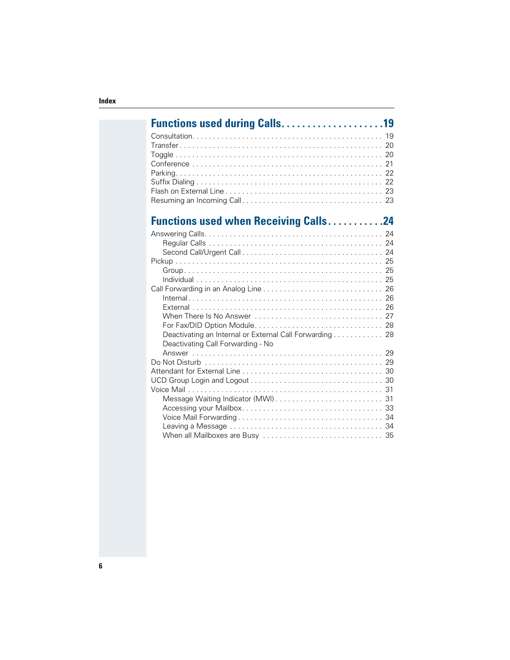| <b>Functions used during Calls19</b>                                                                            |  |
|-----------------------------------------------------------------------------------------------------------------|--|
|                                                                                                                 |  |
|                                                                                                                 |  |
|                                                                                                                 |  |
|                                                                                                                 |  |
|                                                                                                                 |  |
|                                                                                                                 |  |
|                                                                                                                 |  |
|                                                                                                                 |  |
| <b>Functions used when Receiving Calls24</b>                                                                    |  |
|                                                                                                                 |  |
|                                                                                                                 |  |
|                                                                                                                 |  |
|                                                                                                                 |  |
|                                                                                                                 |  |
|                                                                                                                 |  |
|                                                                                                                 |  |
| $Internal \dots \dots \dots \dots \dots \dots \dots \dots \dots \dots \dots \dots \dots \dots \dots \dots \ 26$ |  |
|                                                                                                                 |  |
|                                                                                                                 |  |
|                                                                                                                 |  |
| Deactivating an Internal or External Call Forwarding 28                                                         |  |
| Deactivating Call Forwarding - No                                                                               |  |
|                                                                                                                 |  |
|                                                                                                                 |  |
|                                                                                                                 |  |
|                                                                                                                 |  |
|                                                                                                                 |  |
|                                                                                                                 |  |
|                                                                                                                 |  |
|                                                                                                                 |  |
|                                                                                                                 |  |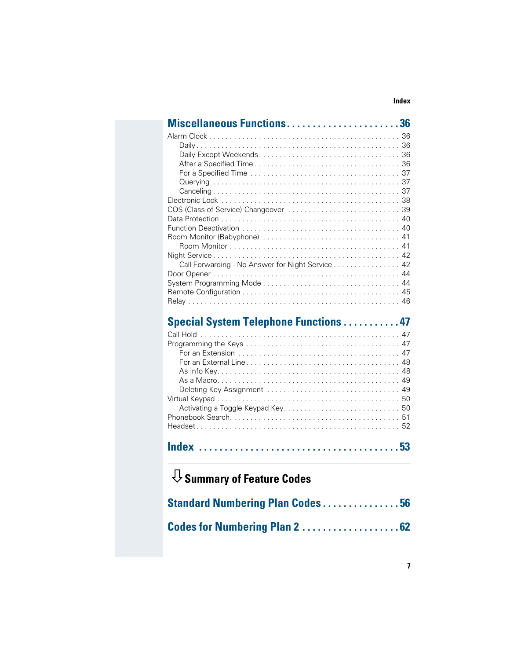|                                      | Miscellaneous Functions36                        |
|--------------------------------------|--------------------------------------------------|
|                                      |                                                  |
|                                      |                                                  |
|                                      |                                                  |
|                                      |                                                  |
|                                      |                                                  |
|                                      |                                                  |
|                                      |                                                  |
|                                      |                                                  |
|                                      |                                                  |
|                                      |                                                  |
|                                      |                                                  |
|                                      |                                                  |
|                                      |                                                  |
|                                      | Call Forwarding - No Answer for Night Service 42 |
|                                      |                                                  |
|                                      |                                                  |
|                                      |                                                  |
|                                      |                                                  |
|                                      | <b>Special System Telephone Functions 47</b>     |
|                                      |                                                  |
|                                      |                                                  |
|                                      |                                                  |
|                                      |                                                  |
|                                      |                                                  |
|                                      |                                                  |
|                                      |                                                  |
|                                      |                                                  |
|                                      |                                                  |
|                                      |                                                  |
|                                      |                                                  |
|                                      |                                                  |
|                                      |                                                  |
| $\mathbb U$ Summary of Feature Codes |                                                  |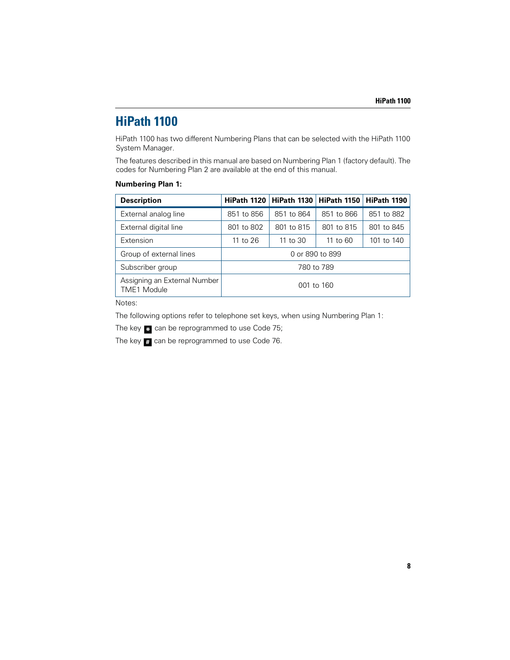## **HiPath 1100**

HiPath 1100 has two different Numbering Plans that can be selected with the HiPath 1100 System Manager.

The features described in this manual are based on Numbering Plan 1 (factory default). The codes for Numbering Plan 2 are available at the end of this manual.

#### **Numbering Plan 1:**

| <b>Description</b>                                 | HiPath 1120     | HiPath 1130   HiPath 1150 |            | HiPath 1190 |
|----------------------------------------------------|-----------------|---------------------------|------------|-------------|
| External analog line                               | 851 to 856      | 851 to 864                | 851 to 866 | 851 to 882  |
| External digital line                              | 801 to 802      | 801 to 815                | 801 to 815 | 801 to 845  |
| Extension                                          | 11 to 26        | 11 to 30                  | 11 to 60   | 101 to 140  |
| Group of external lines                            | 0 or 890 to 899 |                           |            |             |
| Subscriber group                                   | 780 to 789      |                           |            |             |
| Assigning an External Number<br><b>TME1</b> Module | 001 to 160      |                           |            |             |

Notes:

The following options refer to telephone set keys, when using Numbering Plan 1:

The key  $\ast$  can be reprogrammed to use Code 75;

The key **#** can be reprogrammed to use Code 76.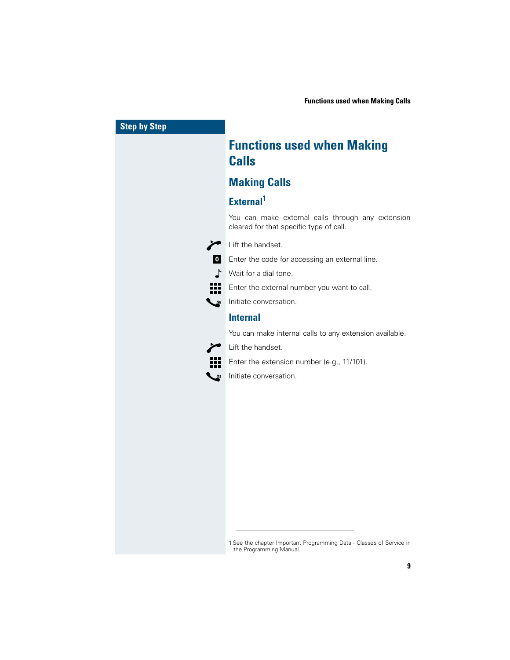

1.See the chapter Important Programming Data - Classes of Service in the Programming Manual.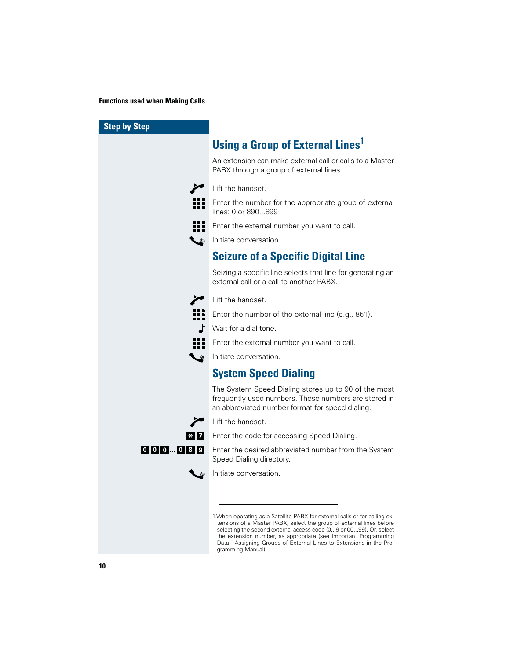| <b>Step by Step</b> |                                                                                                                                                                                                                                                                                                                                                                                          |
|---------------------|------------------------------------------------------------------------------------------------------------------------------------------------------------------------------------------------------------------------------------------------------------------------------------------------------------------------------------------------------------------------------------------|
|                     | <b>Using a Group of External Lines1</b>                                                                                                                                                                                                                                                                                                                                                  |
|                     | An extension can make external call or calls to a Master<br>PABX through a group of external lines.                                                                                                                                                                                                                                                                                      |
|                     | Lift the handset.                                                                                                                                                                                                                                                                                                                                                                        |
|                     | Enter the number for the appropriate group of external<br>lines: 0 or 890899                                                                                                                                                                                                                                                                                                             |
| 88 B B              | Enter the external number you want to call.                                                                                                                                                                                                                                                                                                                                              |
|                     | Initiate conversation.                                                                                                                                                                                                                                                                                                                                                                   |
|                     | <b>Seizure of a Specific Digital Line</b>                                                                                                                                                                                                                                                                                                                                                |
|                     | Seizing a specific line selects that line for generating an<br>external call or a call to another PABX.                                                                                                                                                                                                                                                                                  |
|                     | Lift the handset.                                                                                                                                                                                                                                                                                                                                                                        |
| <u> 100 </u>        | Enter the number of the external line (e.g., 851).                                                                                                                                                                                                                                                                                                                                       |
|                     | Wait for a dial tone.                                                                                                                                                                                                                                                                                                                                                                    |
|                     | Enter the external number you want to call.                                                                                                                                                                                                                                                                                                                                              |
| ہے ـ                | l Initiate conversation.                                                                                                                                                                                                                                                                                                                                                                 |
|                     | <b>System Speed Dialing</b>                                                                                                                                                                                                                                                                                                                                                              |
|                     | The System Speed Dialing stores up to 90 of the most<br>frequently used numbers. These numbers are stored in<br>an abbreviated number format for speed dialing.                                                                                                                                                                                                                          |
|                     | Lift the handset.                                                                                                                                                                                                                                                                                                                                                                        |
|                     | <b>*</b> 7 Enter the code for accessing Speed Dialing.                                                                                                                                                                                                                                                                                                                                   |
|                     | 0 0 0  0 8 9 Enter the desired abbreviated number from the System<br>Speed Dialing directory.                                                                                                                                                                                                                                                                                            |
|                     | Initiate conversation.                                                                                                                                                                                                                                                                                                                                                                   |
|                     |                                                                                                                                                                                                                                                                                                                                                                                          |
|                     | 1. When operating as a Satellite PABX for external calls or for calling ex-<br>tensions of a Master PABX, select the group of external lines before<br>selecting the second external access code (09 or 0099). Or, select<br>the extension number, as appropriate (see Important Programming<br>Data - Assigning Groups of External Lines to Extensions in the Pro-<br>gramming Manual). |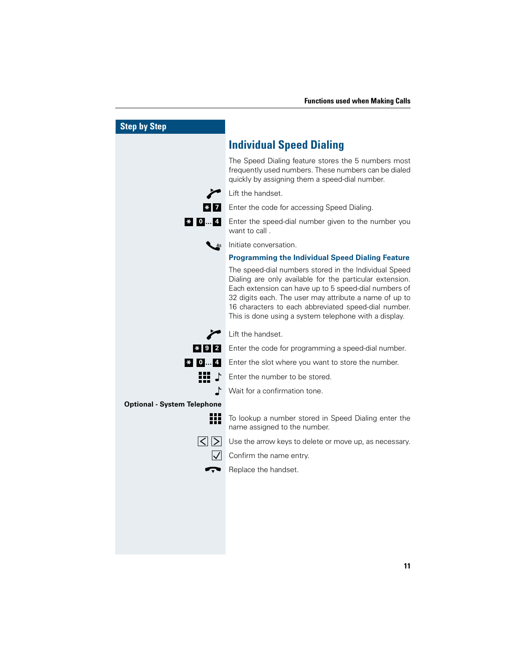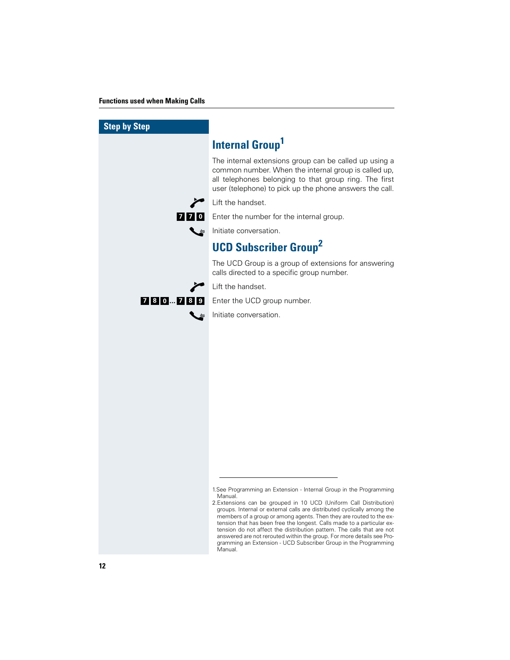| <b>Step by Step</b> |                                                                                                                                                                                                                                                                                                                                                                                                                                                                                                                                                                                                        |
|---------------------|--------------------------------------------------------------------------------------------------------------------------------------------------------------------------------------------------------------------------------------------------------------------------------------------------------------------------------------------------------------------------------------------------------------------------------------------------------------------------------------------------------------------------------------------------------------------------------------------------------|
|                     | Internal Group <sup>1</sup>                                                                                                                                                                                                                                                                                                                                                                                                                                                                                                                                                                            |
|                     | The internal extensions group can be called up using a<br>common number. When the internal group is called up,<br>all telephones belonging to that group ring. The first<br>user (telephone) to pick up the phone answers the call.                                                                                                                                                                                                                                                                                                                                                                    |
|                     | Lift the handset.                                                                                                                                                                                                                                                                                                                                                                                                                                                                                                                                                                                      |
|                     | 7 7 0 Enter the number for the internal group.                                                                                                                                                                                                                                                                                                                                                                                                                                                                                                                                                         |
|                     | Initiate conversation.                                                                                                                                                                                                                                                                                                                                                                                                                                                                                                                                                                                 |
|                     | <b>UCD Subscriber Group<sup>2</sup></b>                                                                                                                                                                                                                                                                                                                                                                                                                                                                                                                                                                |
|                     | The UCD Group is a group of extensions for answering<br>calls directed to a specific group number.                                                                                                                                                                                                                                                                                                                                                                                                                                                                                                     |
|                     | Lift the handset.                                                                                                                                                                                                                                                                                                                                                                                                                                                                                                                                                                                      |
| 780  789            | Enter the UCD group number.                                                                                                                                                                                                                                                                                                                                                                                                                                                                                                                                                                            |
|                     | Initiate conversation.                                                                                                                                                                                                                                                                                                                                                                                                                                                                                                                                                                                 |
|                     |                                                                                                                                                                                                                                                                                                                                                                                                                                                                                                                                                                                                        |
|                     | 1. See Programming an Extension - Internal Group in the Programming<br>Manual.<br>2. Extensions can be grouped in 10 UCD (Uniform Call Distribution)<br>groups. Internal or external calls are distributed cyclically among the<br>members of a group or among agents. Then they are routed to the ex-<br>tension that has been free the longest. Calls made to a particular ex-<br>tension do not affect the distribution pattern. The calls that are not<br>answered are not rerouted within the group. For more details see Pro-<br>gramming an Extension - UCD Subscriber Group in the Programming |

Manual.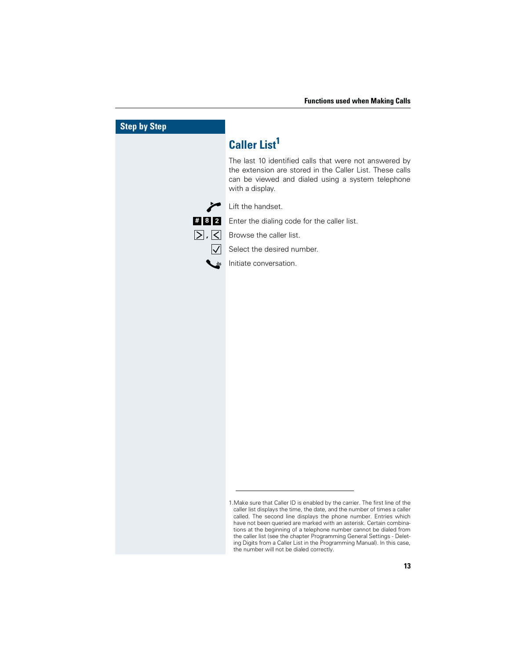| <b>Step by Step</b>                                        |                                                                                                                                                                                                                                                                                                                                                                                                                                                                                                                                 |
|------------------------------------------------------------|---------------------------------------------------------------------------------------------------------------------------------------------------------------------------------------------------------------------------------------------------------------------------------------------------------------------------------------------------------------------------------------------------------------------------------------------------------------------------------------------------------------------------------|
|                                                            | <b>Caller List<sup>1</sup></b>                                                                                                                                                                                                                                                                                                                                                                                                                                                                                                  |
|                                                            | The last 10 identified calls that were not answered by<br>the extension are stored in the Caller List. These calls<br>can be viewed and dialed using a system telephone<br>with a display.                                                                                                                                                                                                                                                                                                                                      |
|                                                            | Lift the handset.                                                                                                                                                                                                                                                                                                                                                                                                                                                                                                               |
| $\vert \mathbf{t} \vert \mathbf{8} \vert \mathbf{2} \vert$ | Enter the dialing code for the caller list.                                                                                                                                                                                                                                                                                                                                                                                                                                                                                     |
| $\sum$ , $\leq$                                            | Browse the caller list.                                                                                                                                                                                                                                                                                                                                                                                                                                                                                                         |
|                                                            | Select the desired number.                                                                                                                                                                                                                                                                                                                                                                                                                                                                                                      |
|                                                            | Initiate conversation.                                                                                                                                                                                                                                                                                                                                                                                                                                                                                                          |
|                                                            |                                                                                                                                                                                                                                                                                                                                                                                                                                                                                                                                 |
|                                                            |                                                                                                                                                                                                                                                                                                                                                                                                                                                                                                                                 |
|                                                            |                                                                                                                                                                                                                                                                                                                                                                                                                                                                                                                                 |
|                                                            |                                                                                                                                                                                                                                                                                                                                                                                                                                                                                                                                 |
|                                                            |                                                                                                                                                                                                                                                                                                                                                                                                                                                                                                                                 |
|                                                            |                                                                                                                                                                                                                                                                                                                                                                                                                                                                                                                                 |
|                                                            |                                                                                                                                                                                                                                                                                                                                                                                                                                                                                                                                 |
|                                                            |                                                                                                                                                                                                                                                                                                                                                                                                                                                                                                                                 |
|                                                            |                                                                                                                                                                                                                                                                                                                                                                                                                                                                                                                                 |
|                                                            |                                                                                                                                                                                                                                                                                                                                                                                                                                                                                                                                 |
|                                                            |                                                                                                                                                                                                                                                                                                                                                                                                                                                                                                                                 |
|                                                            |                                                                                                                                                                                                                                                                                                                                                                                                                                                                                                                                 |
|                                                            |                                                                                                                                                                                                                                                                                                                                                                                                                                                                                                                                 |
|                                                            |                                                                                                                                                                                                                                                                                                                                                                                                                                                                                                                                 |
|                                                            | 1. Make sure that Caller ID is enabled by the carrier. The first line of the<br>caller list displays the time, the date, and the number of times a caller<br>called. The second line displays the phone number. Entries which<br>have not been queried are marked with an asterisk. Certain combina-<br>tions at the beginning of a telephone number cannot be dialed from<br>the caller list (see the chapter Programming General Settings - Delet-<br>ing Digits from a Caller List in the Programming Manual). In this case, |

the number will not be dialed correctly.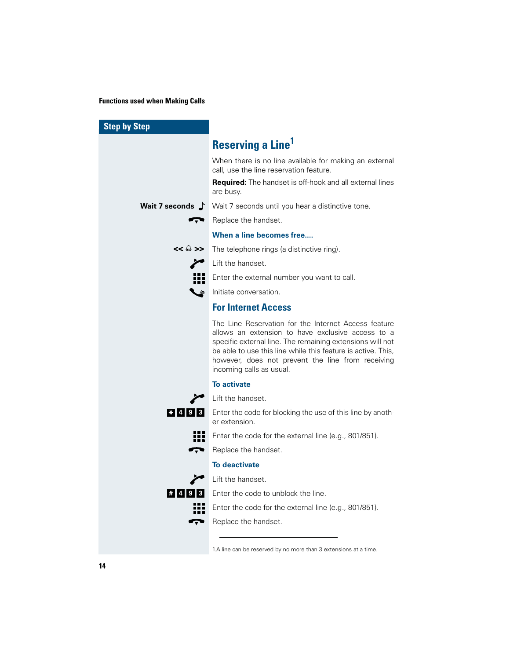| <b>Step by Step</b> |                                                                                                                                                                                                                                                                                                                         |
|---------------------|-------------------------------------------------------------------------------------------------------------------------------------------------------------------------------------------------------------------------------------------------------------------------------------------------------------------------|
|                     | <b>Reserving a Line<sup>1</sup></b>                                                                                                                                                                                                                                                                                     |
|                     | When there is no line available for making an external<br>call, use the line reservation feature.                                                                                                                                                                                                                       |
|                     | <b>Required:</b> The handset is off-hook and all external lines<br>are busy.                                                                                                                                                                                                                                            |
|                     | <b>Wait 7 seconds</b> $\int$ Wait 7 seconds until you hear a distinctive tone.                                                                                                                                                                                                                                          |
|                     | Replace the handset.                                                                                                                                                                                                                                                                                                    |
|                     | When a line becomes free                                                                                                                                                                                                                                                                                                |
| $<<$ $\ominus$ $>>$ | The telephone rings (a distinctive ring).                                                                                                                                                                                                                                                                               |
|                     | Lift the handset.                                                                                                                                                                                                                                                                                                       |
|                     | Enter the external number you want to call.                                                                                                                                                                                                                                                                             |
|                     | Initiate conversation.                                                                                                                                                                                                                                                                                                  |
|                     | <b>For Internet Access</b>                                                                                                                                                                                                                                                                                              |
|                     | The Line Reservation for the Internet Access feature<br>allows an extension to have exclusive access to a<br>specific external line. The remaining extensions will not<br>be able to use this line while this feature is active. This,<br>however, does not prevent the line from receiving<br>incoming calls as usual. |
|                     | <b>To activate</b>                                                                                                                                                                                                                                                                                                      |
|                     | Lift the handset.                                                                                                                                                                                                                                                                                                       |
| $*$  4 9 3          | Enter the code for blocking the use of this line by anoth-<br>er extension.                                                                                                                                                                                                                                             |
|                     | Enter the code for the external line (e.g., 801/851).                                                                                                                                                                                                                                                                   |
| Ţ                   | Replace the handset.                                                                                                                                                                                                                                                                                                    |
|                     | To deactivate                                                                                                                                                                                                                                                                                                           |
|                     | Lift the handset.                                                                                                                                                                                                                                                                                                       |
| # 4 9 3             | Enter the code to unblock the line.                                                                                                                                                                                                                                                                                     |
|                     | Enter the code for the external line (e.g., 801/851).                                                                                                                                                                                                                                                                   |
|                     | Replace the handset.                                                                                                                                                                                                                                                                                                    |
|                     | 1.A line can be reserved by no more than 3 extensions at a time.                                                                                                                                                                                                                                                        |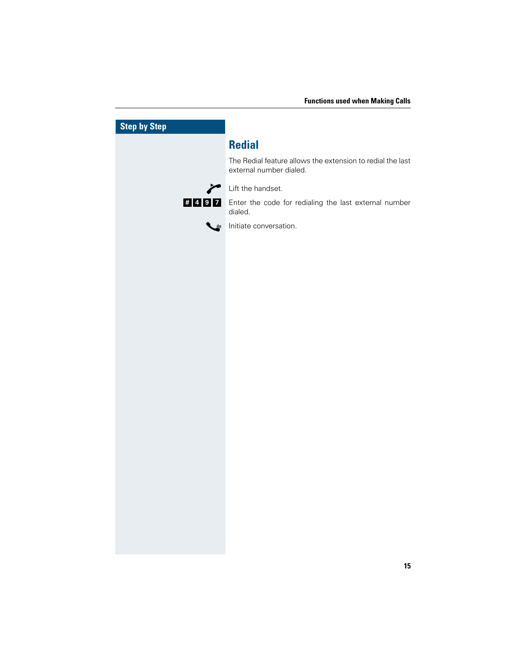| <b>Step by Step</b> |                                                                                       |
|---------------------|---------------------------------------------------------------------------------------|
|                     | <b>Redial</b>                                                                         |
|                     | The Redial feature allows the extension to redial the last<br>external number dialed. |
| ∕                   | Lift the handset.                                                                     |
| #497                | Enter the code for redialing the last external number<br>dialed.                      |
| しょ                  | Initiate conversation.                                                                |
|                     |                                                                                       |
|                     |                                                                                       |
|                     |                                                                                       |
|                     |                                                                                       |
|                     |                                                                                       |
|                     |                                                                                       |
|                     |                                                                                       |
|                     |                                                                                       |
|                     |                                                                                       |
|                     |                                                                                       |
|                     |                                                                                       |
|                     |                                                                                       |
|                     |                                                                                       |
|                     |                                                                                       |
|                     |                                                                                       |
|                     |                                                                                       |
|                     |                                                                                       |
|                     |                                                                                       |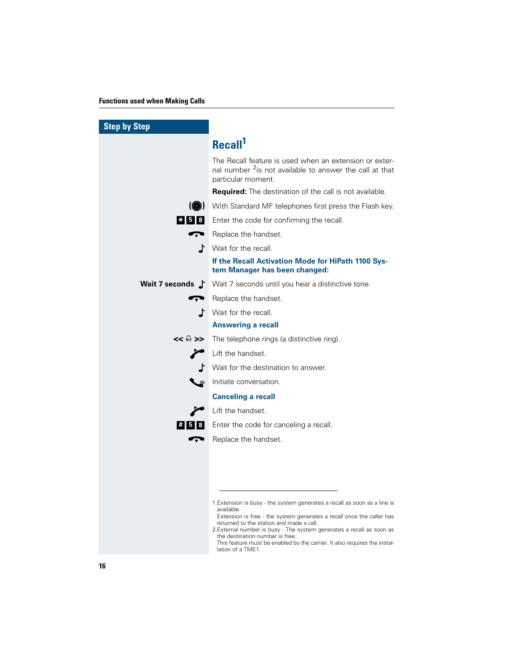| <b>Step by Step</b> |                                                                                                                                                                                                                                                                                                                                                                                                                            |
|---------------------|----------------------------------------------------------------------------------------------------------------------------------------------------------------------------------------------------------------------------------------------------------------------------------------------------------------------------------------------------------------------------------------------------------------------------|
|                     | Recall <sup>1</sup>                                                                                                                                                                                                                                                                                                                                                                                                        |
|                     | The Recall feature is used when an extension or exter-<br>nal number <sup>2</sup> is not available to answer the call at that<br>particular moment.                                                                                                                                                                                                                                                                        |
|                     | Required: The destination of the call is not available.                                                                                                                                                                                                                                                                                                                                                                    |
|                     | (O) With Standard MF telephones first press the Flash key.                                                                                                                                                                                                                                                                                                                                                                 |
|                     | * 5 8 Enter the code for confirming the recall.                                                                                                                                                                                                                                                                                                                                                                            |
|                     | Replace the handset.                                                                                                                                                                                                                                                                                                                                                                                                       |
|                     | Wait for the recall.                                                                                                                                                                                                                                                                                                                                                                                                       |
|                     | If the Recall Activation Mode for HiPath 1100 Sys-<br>tem Manager has been changed:                                                                                                                                                                                                                                                                                                                                        |
|                     | <b>Wait 7 seconds</b> Y Wait 7 seconds until you hear a distinctive tone.                                                                                                                                                                                                                                                                                                                                                  |
|                     | Replace the handset.                                                                                                                                                                                                                                                                                                                                                                                                       |
|                     | $\Gamma$ Wait for the recall.                                                                                                                                                                                                                                                                                                                                                                                              |
|                     | <b>Answering a recall</b>                                                                                                                                                                                                                                                                                                                                                                                                  |
| $<<$ $\ominus$ $>>$ | The telephone rings (a distinctive ring).                                                                                                                                                                                                                                                                                                                                                                                  |
|                     | Lift the handset.                                                                                                                                                                                                                                                                                                                                                                                                          |
|                     | Wait for the destination to answer.                                                                                                                                                                                                                                                                                                                                                                                        |
|                     | Initiate conversation.                                                                                                                                                                                                                                                                                                                                                                                                     |
|                     | <b>Canceling a recall</b>                                                                                                                                                                                                                                                                                                                                                                                                  |
|                     | Lift the handset.                                                                                                                                                                                                                                                                                                                                                                                                          |
| $\vert$ # 5 8       | Enter the code for canceling a recall.                                                                                                                                                                                                                                                                                                                                                                                     |
|                     | Replace the handset.                                                                                                                                                                                                                                                                                                                                                                                                       |
|                     |                                                                                                                                                                                                                                                                                                                                                                                                                            |
|                     |                                                                                                                                                                                                                                                                                                                                                                                                                            |
|                     |                                                                                                                                                                                                                                                                                                                                                                                                                            |
|                     | 1. Extension is busy - the system generates a recall as soon as a line is<br>available.<br>Extension is free - the system generates a recall once the caller has<br>returned to the station and made a call.<br>2. External number is busy - The system generates a recall as soon as<br>the destination number is free.<br>This feature must be enabled by the carrier. It also requires the instal-<br>lation of a TME1. |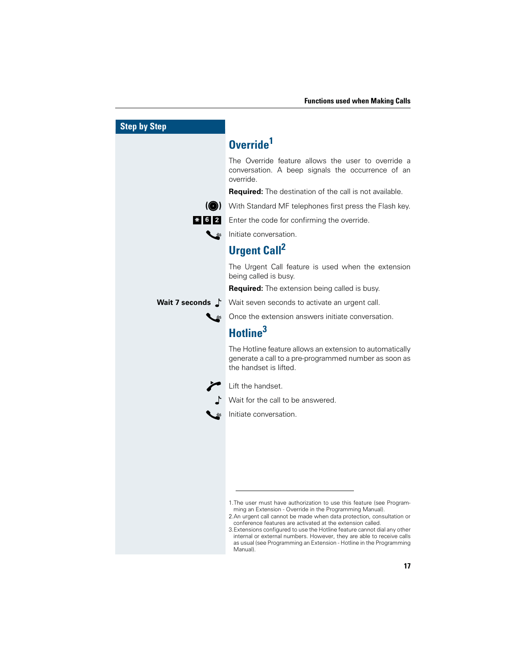| <b>Step by Step</b>       |                                                                                                                                                                                                                                                                                                                                                                                                                                                                                                       |
|---------------------------|-------------------------------------------------------------------------------------------------------------------------------------------------------------------------------------------------------------------------------------------------------------------------------------------------------------------------------------------------------------------------------------------------------------------------------------------------------------------------------------------------------|
|                           | Override <sup>1</sup>                                                                                                                                                                                                                                                                                                                                                                                                                                                                                 |
|                           | The Override feature allows the user to override a<br>conversation. A beep signals the occurrence of an<br>override.                                                                                                                                                                                                                                                                                                                                                                                  |
|                           | <b>Required:</b> The destination of the call is not available.                                                                                                                                                                                                                                                                                                                                                                                                                                        |
| $\left( \bigcirc \right)$ | With Standard MF telephones first press the Flash key.                                                                                                                                                                                                                                                                                                                                                                                                                                                |
|                           | * 6 2 Enter the code for confirming the override.                                                                                                                                                                                                                                                                                                                                                                                                                                                     |
|                           | Initiate conversation.                                                                                                                                                                                                                                                                                                                                                                                                                                                                                |
|                           | <b>Urgent Call<sup>2</sup></b>                                                                                                                                                                                                                                                                                                                                                                                                                                                                        |
|                           | The Urgent Call feature is used when the extension<br>being called is busy.                                                                                                                                                                                                                                                                                                                                                                                                                           |
|                           | <b>Required:</b> The extension being called is busy.                                                                                                                                                                                                                                                                                                                                                                                                                                                  |
|                           | Wait 7 seconds J Wait seven seconds to activate an urgent call.                                                                                                                                                                                                                                                                                                                                                                                                                                       |
|                           | Once the extension answers initiate conversation.                                                                                                                                                                                                                                                                                                                                                                                                                                                     |
|                           | Hotline <sup>3</sup>                                                                                                                                                                                                                                                                                                                                                                                                                                                                                  |
|                           | The Hotline feature allows an extension to automatically<br>generate a call to a pre-programmed number as soon as<br>the handset is lifted.                                                                                                                                                                                                                                                                                                                                                           |
|                           | Lift the handset.                                                                                                                                                                                                                                                                                                                                                                                                                                                                                     |
|                           | Wait for the call to be answered.                                                                                                                                                                                                                                                                                                                                                                                                                                                                     |
|                           | Initiate conversation.                                                                                                                                                                                                                                                                                                                                                                                                                                                                                |
|                           |                                                                                                                                                                                                                                                                                                                                                                                                                                                                                                       |
|                           |                                                                                                                                                                                                                                                                                                                                                                                                                                                                                                       |
|                           |                                                                                                                                                                                                                                                                                                                                                                                                                                                                                                       |
|                           |                                                                                                                                                                                                                                                                                                                                                                                                                                                                                                       |
|                           |                                                                                                                                                                                                                                                                                                                                                                                                                                                                                                       |
|                           | 1. The user must have authorization to use this feature (see Program-<br>ming an Extension - Override in the Programming Manual).<br>2.An urgent call cannot be made when data protection, consultation or<br>conference features are activated at the extension called.<br>3. Extensions configured to use the Hotline feature cannot dial any other<br>internal or external numbers. However, they are able to receive calls<br>as usual (see Programming an Extension - Hotline in the Programming |
|                           | Manual).                                                                                                                                                                                                                                                                                                                                                                                                                                                                                              |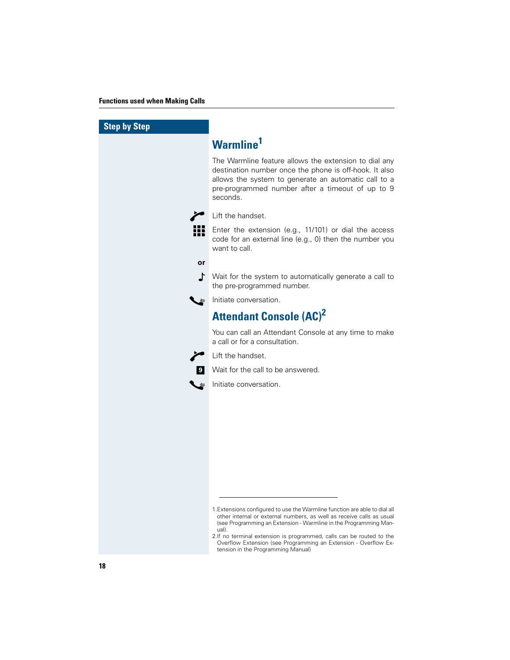| <b>Step by Step</b> |                                                                                                                                                                                                                                                                                                                                                                                                                   |
|---------------------|-------------------------------------------------------------------------------------------------------------------------------------------------------------------------------------------------------------------------------------------------------------------------------------------------------------------------------------------------------------------------------------------------------------------|
|                     | Warmline <sup>1</sup>                                                                                                                                                                                                                                                                                                                                                                                             |
|                     | The Warmline feature allows the extension to dial any<br>destination number once the phone is off-hook. It also<br>allows the system to generate an automatic call to a<br>pre-programmed number after a timeout of up to 9<br>seconds.                                                                                                                                                                           |
|                     | Lift the handset.                                                                                                                                                                                                                                                                                                                                                                                                 |
|                     | Enter the extension (e.g., 11/101) or dial the access<br>code for an external line (e.g., 0) then the number you<br>want to call.                                                                                                                                                                                                                                                                                 |
| or                  |                                                                                                                                                                                                                                                                                                                                                                                                                   |
| ╻                   | Wait for the system to automatically generate a call to<br>the pre-programmed number.                                                                                                                                                                                                                                                                                                                             |
|                     | Initiate conversation.                                                                                                                                                                                                                                                                                                                                                                                            |
|                     | <b>Attendant Console (AC)<sup>2</sup></b>                                                                                                                                                                                                                                                                                                                                                                         |
|                     | You can call an Attendant Console at any time to make<br>a call or for a consultation.                                                                                                                                                                                                                                                                                                                            |
|                     | Lift the handset.                                                                                                                                                                                                                                                                                                                                                                                                 |
| 9                   | Wait for the call to be answered.                                                                                                                                                                                                                                                                                                                                                                                 |
|                     | Initiate conversation.                                                                                                                                                                                                                                                                                                                                                                                            |
|                     |                                                                                                                                                                                                                                                                                                                                                                                                                   |
|                     |                                                                                                                                                                                                                                                                                                                                                                                                                   |
|                     |                                                                                                                                                                                                                                                                                                                                                                                                                   |
|                     |                                                                                                                                                                                                                                                                                                                                                                                                                   |
|                     |                                                                                                                                                                                                                                                                                                                                                                                                                   |
|                     |                                                                                                                                                                                                                                                                                                                                                                                                                   |
|                     |                                                                                                                                                                                                                                                                                                                                                                                                                   |
|                     | 1. Extensions configured to use the Warmline function are able to dial all<br>other internal or external numbers, as well as receive calls as usual<br>(see Programming an Extension - Warmline in the Programming Man-<br>ual).<br>2.If no terminal extension is programmed, calls can be routed to the<br>Overflow Extension (see Programming an Extension - Overflow Ex-<br>tension in the Programming Manual) |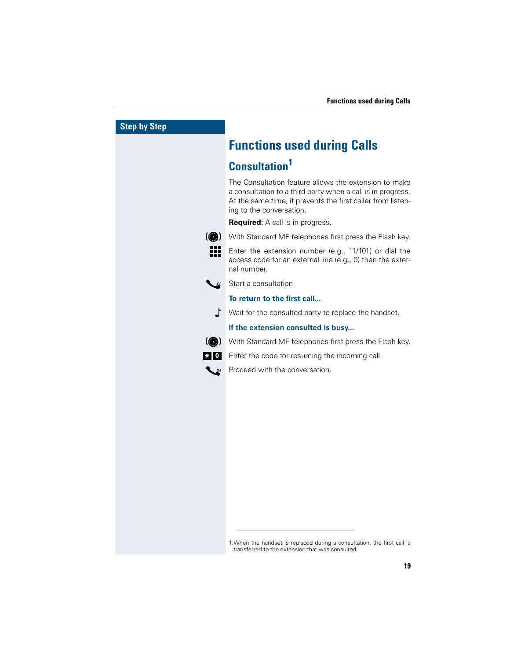

1.When the handset is replaced during a consultation, the first call is transferred to the extension that was consulted.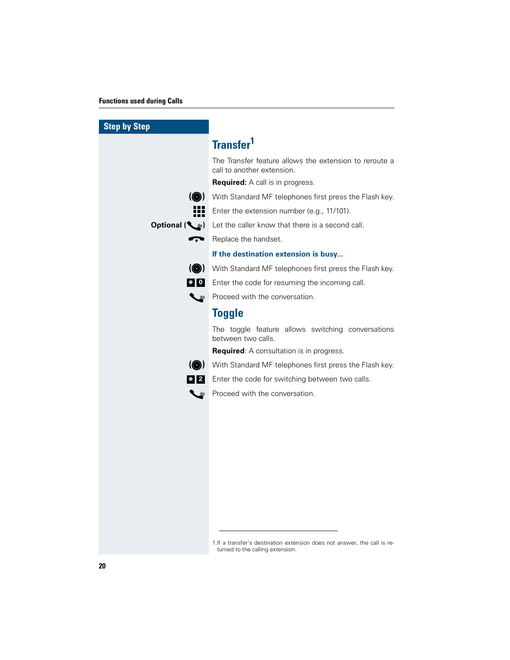#### **Functions used during Calls**

| <b>Step by Step</b> |                                                                                                               |
|---------------------|---------------------------------------------------------------------------------------------------------------|
|                     | Transfer <sup>1</sup>                                                                                         |
|                     | The Transfer feature allows the extension to reroute a<br>call to another extension.                          |
|                     | <b>Required:</b> A call is in progress.                                                                       |
| $\circledcirc$      | With Standard MF telephones first press the Flash key.                                                        |
|                     | Enter the extension number (e.g., 11/101).                                                                    |
| Optional $(\leq)$   | Let the caller know that there is a second call.                                                              |
| Ļ                   | Replace the handset.                                                                                          |
|                     | If the destination extension is busy                                                                          |
| $\circledcirc$      | With Standard MF telephones first press the Flash key.                                                        |
| $* 0 $              | Enter the code for resuming the incoming call.                                                                |
| ╰                   | Proceed with the conversation.                                                                                |
|                     | <b>Toggle</b>                                                                                                 |
|                     | The toggle feature allows switching conversations<br>between two calls.                                       |
|                     | <b>Required:</b> A consultation is in progress.                                                               |
| $\circledcirc$      | With Standard MF telephones first press the Flash key.                                                        |
| $\vert x \vert$ 2   | Enter the code for switching between two calls.                                                               |
| ◟◛                  | Proceed with the conversation.                                                                                |
|                     |                                                                                                               |
|                     |                                                                                                               |
|                     |                                                                                                               |
|                     |                                                                                                               |
|                     |                                                                                                               |
|                     |                                                                                                               |
|                     |                                                                                                               |
|                     |                                                                                                               |
|                     |                                                                                                               |
|                     |                                                                                                               |
|                     | 1. If a transfer's destination extension does not answer, the call is re-<br>turned to the calling extension. |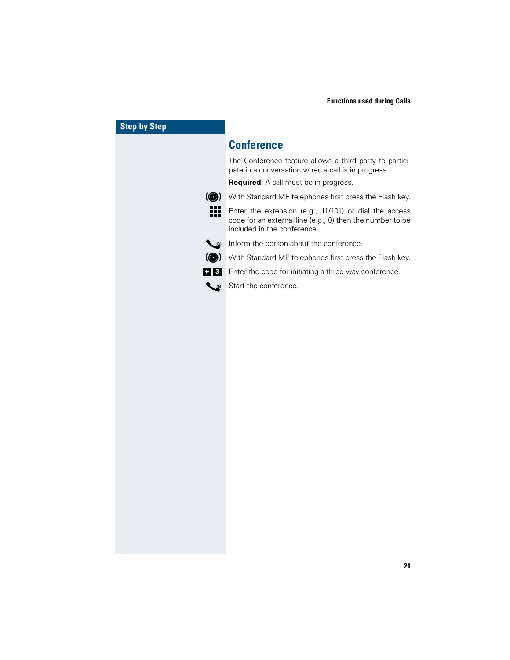## **Step by Step Conference** The Conference feature allows a third party to participate in a conversation when a call is in progress. **Required:** A call must be in progress. **(@)** With Standard MF telephones first press the Flash key. Enter the extension (e.g., 11/101) or dial the access code for an external line (e.g., 0) then the number to be included in the conference. Inform the person about the conference. **(@)** With Standard MF telephones first press the Flash key. Enter the code for initiating a three-way conference. **<sup>3</sup> \***Start the conference.  $\tilde{\mathcal{L}}$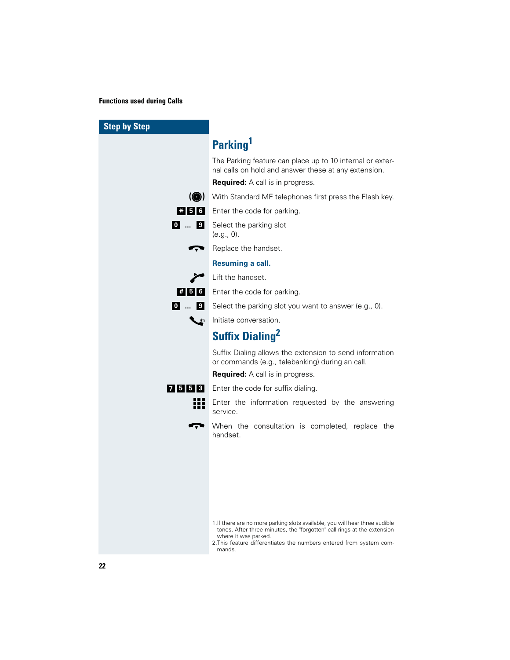#### **Functions used during Calls**

| <b>Step by Step</b> |                                                                                                                                                                                                                                                                  |
|---------------------|------------------------------------------------------------------------------------------------------------------------------------------------------------------------------------------------------------------------------------------------------------------|
|                     | Parking <sup>1</sup>                                                                                                                                                                                                                                             |
|                     | The Parking feature can place up to 10 internal or exter-<br>nal calls on hold and answer these at any extension.                                                                                                                                                |
|                     | <b>Required:</b> A call is in progress.                                                                                                                                                                                                                          |
|                     | (O) With Standard MF telephones first press the Flash key.                                                                                                                                                                                                       |
|                     | <b>* 5 6</b> Enter the code for parking.                                                                                                                                                                                                                         |
| 0  9                | Select the parking slot<br>(e.g., 0).                                                                                                                                                                                                                            |
|                     | Replace the handset.                                                                                                                                                                                                                                             |
|                     | Resuming a call.                                                                                                                                                                                                                                                 |
|                     | Lift the handset.                                                                                                                                                                                                                                                |
| #56.                | Enter the code for parking.                                                                                                                                                                                                                                      |
|                     | 0  9 Select the parking slot you want to answer (e.g., 0).                                                                                                                                                                                                       |
|                     | Initiate conversation.                                                                                                                                                                                                                                           |
|                     | <b>Suffix Dialing<sup>2</sup></b>                                                                                                                                                                                                                                |
|                     | Suffix Dialing allows the extension to send information<br>or commands (e.g., telebanking) during an call.                                                                                                                                                       |
|                     | <b>Required:</b> A call is in progress.                                                                                                                                                                                                                          |
| 7553                | Enter the code for suffix dialing.                                                                                                                                                                                                                               |
| 222                 | Enter the information requested by the answering<br>service.                                                                                                                                                                                                     |
|                     | When the consultation is completed, replace the<br>handset.                                                                                                                                                                                                      |
|                     |                                                                                                                                                                                                                                                                  |
|                     |                                                                                                                                                                                                                                                                  |
|                     |                                                                                                                                                                                                                                                                  |
|                     |                                                                                                                                                                                                                                                                  |
|                     |                                                                                                                                                                                                                                                                  |
|                     | 1. If there are no more parking slots available, you will hear three audible<br>tones. After three minutes, the "forgotten" call rings at the extension<br>where it was parked.<br>2. This feature differentiates the numbers entered from system com-<br>mands. |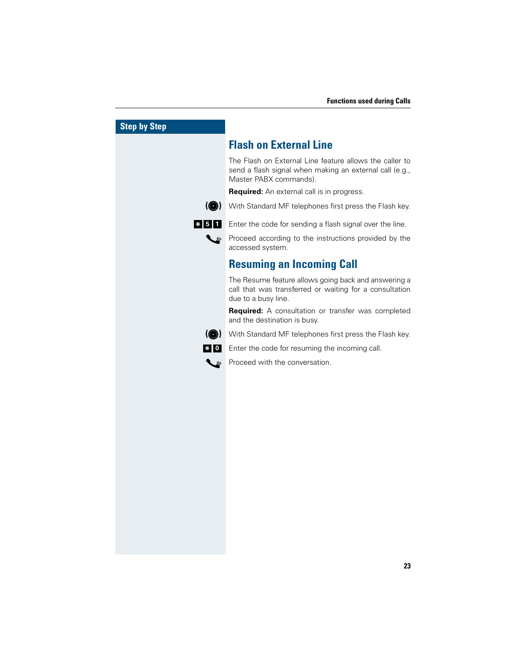| by Step                       |                                                                                                                                              |
|-------------------------------|----------------------------------------------------------------------------------------------------------------------------------------------|
|                               | <b>Flash on External Line</b>                                                                                                                |
|                               | The Flash on External Line feature allows the caller to<br>send a flash signal when making an external call (e.g.,<br>Master PABX commands). |
|                               | <b>Required:</b> An external call is in progress.                                                                                            |
| $\circledcirc$                | With Standard MF telephones first press the Flash key.                                                                                       |
| $\vert * \vert 5 \vert$<br>11 | Enter the code for sending a flash signal over the line.                                                                                     |
|                               | Proceed according to the instructions provided by the<br>accessed system.                                                                    |
|                               | <b>Resuming an Incoming Call</b>                                                                                                             |
|                               | The Resume feature allows going back and answering a<br>call that was transferred or waiting for a consultation<br>due to a busy line.       |
|                               | <b>Required:</b> A consultation or transfer was completed<br>and the destination is busy.                                                    |
| $\odot$                       | With Standard MF telephones first press the Flash key.                                                                                       |
| $* 0 $                        | Enter the code for resuming the incoming call.                                                                                               |
|                               | Proceed with the conversation.                                                                                                               |
|                               |                                                                                                                                              |
|                               |                                                                                                                                              |
|                               |                                                                                                                                              |
|                               |                                                                                                                                              |
|                               |                                                                                                                                              |
|                               |                                                                                                                                              |
|                               |                                                                                                                                              |
|                               |                                                                                                                                              |
|                               |                                                                                                                                              |
|                               |                                                                                                                                              |
|                               |                                                                                                                                              |
|                               |                                                                                                                                              |
|                               |                                                                                                                                              |

**Step**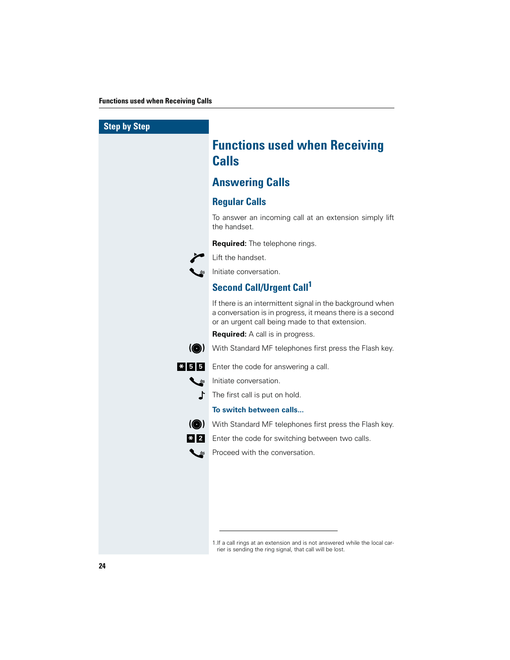| <b>Step by Step</b> |                                                                                                                                                                           |
|---------------------|---------------------------------------------------------------------------------------------------------------------------------------------------------------------------|
|                     | <b>Functions used when Receiving</b><br><b>Calls</b>                                                                                                                      |
|                     | <b>Answering Calls</b>                                                                                                                                                    |
|                     | <b>Regular Calls</b>                                                                                                                                                      |
|                     | To answer an incoming call at an extension simply lift<br>the handset.                                                                                                    |
|                     | Required: The telephone rings.                                                                                                                                            |
|                     | Lift the handset.                                                                                                                                                         |
|                     | Initiate conversation.                                                                                                                                                    |
|                     | <b>Second Call/Urgent Call<sup>1</sup></b>                                                                                                                                |
|                     | If there is an intermittent signal in the background when<br>a conversation is in progress, it means there is a second<br>or an urgent call being made to that extension. |
|                     | <b>Required:</b> A call is in progress.                                                                                                                                   |
| $\circledcirc$      | With Standard MF telephones first press the Flash key.                                                                                                                    |
| $* 5 5$             | Enter the code for answering a call.                                                                                                                                      |
| $\approx$           | Initiate conversation.                                                                                                                                                    |
| ╻                   | The first call is put on hold.                                                                                                                                            |
|                     | To switch between calls                                                                                                                                                   |
| $\odot$             | With Standard MF telephones first press the Flash key.                                                                                                                    |
| $*$   2             | Enter the code for switching between two calls.                                                                                                                           |
|                     | Proceed with the conversation.                                                                                                                                            |
|                     |                                                                                                                                                                           |
|                     |                                                                                                                                                                           |
|                     |                                                                                                                                                                           |
|                     |                                                                                                                                                                           |
|                     |                                                                                                                                                                           |
|                     | 1. If a call rings at an extension and is not answered while the local car-<br>rier is sending the ring signal, that call will be lost.                                   |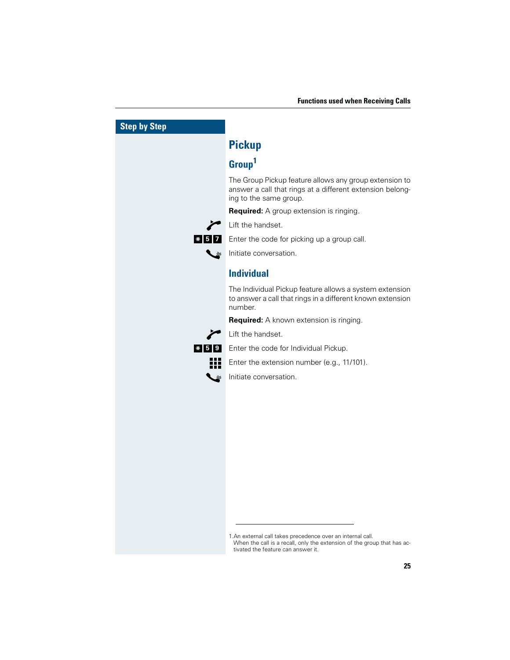| <b>Step by Step</b>   |                                                                                                                                                                              |
|-----------------------|------------------------------------------------------------------------------------------------------------------------------------------------------------------------------|
|                       | <b>Pickup</b>                                                                                                                                                                |
|                       | Group <sup>1</sup>                                                                                                                                                           |
|                       | The Group Pickup feature allows any group extension to<br>answer a call that rings at a different extension belong-<br>ing to the same group.                                |
|                       | <b>Required:</b> A group extension is ringing.                                                                                                                               |
|                       | Lift the handset.                                                                                                                                                            |
| $*$ 5<br>71           | Enter the code for picking up a group call.                                                                                                                                  |
|                       | Initiate conversation.                                                                                                                                                       |
|                       | <b>Individual</b>                                                                                                                                                            |
|                       | The Individual Pickup feature allows a system extension<br>to answer a call that rings in a different known extension<br>number.                                             |
|                       | <b>Required:</b> A known extension is ringing.                                                                                                                               |
|                       | Lift the handset.                                                                                                                                                            |
| $\overline{\bf *}$ 59 | Enter the code for Individual Pickup.                                                                                                                                        |
|                       | Enter the extension number (e.g., 11/101).                                                                                                                                   |
|                       | Initiate conversation.                                                                                                                                                       |
|                       |                                                                                                                                                                              |
|                       |                                                                                                                                                                              |
|                       |                                                                                                                                                                              |
|                       |                                                                                                                                                                              |
|                       |                                                                                                                                                                              |
|                       |                                                                                                                                                                              |
|                       |                                                                                                                                                                              |
|                       |                                                                                                                                                                              |
|                       |                                                                                                                                                                              |
|                       |                                                                                                                                                                              |
|                       | 1. An external call takes precedence over an internal call.<br>When the call is a recall, only the extension of the group that has ac-<br>tivated the feature can answer it. |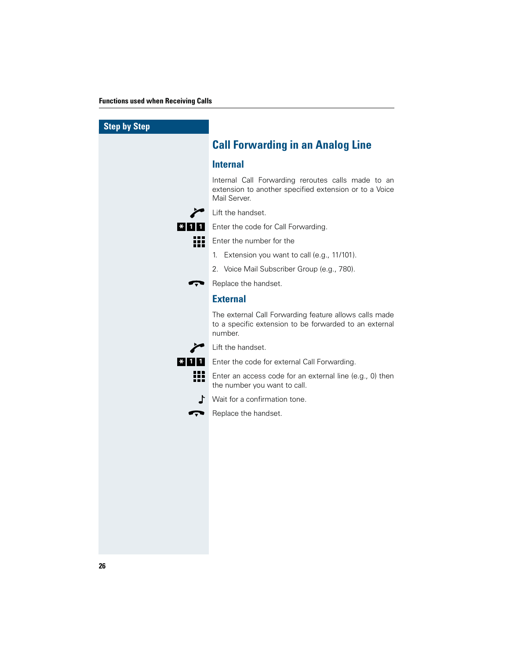| <b>Step by Step</b>                         |                                                                                                                              |
|---------------------------------------------|------------------------------------------------------------------------------------------------------------------------------|
|                                             | <b>Call Forwarding in an Analog Line</b>                                                                                     |
|                                             | <b>Internal</b>                                                                                                              |
|                                             | Internal Call Forwarding reroutes calls made to an<br>extension to another specified extension or to a Voice<br>Mail Server. |
|                                             | Lift the handset.                                                                                                            |
| $\vert$ $\star$ $\vert$ 1 $\vert$ 1 $\vert$ | Enter the code for Call Forwarding.                                                                                          |
| m                                           | Enter the number for the                                                                                                     |
|                                             | 1. Extension you want to call (e.g., 11/101).                                                                                |
|                                             | 2. Voice Mail Subscriber Group (e.g., 780).                                                                                  |
| ▼                                           | Replace the handset.                                                                                                         |
|                                             | <b>External</b>                                                                                                              |
|                                             | The external Call Forwarding feature allows calls made<br>to a specific extension to be forwarded to an external<br>number.  |
|                                             | Lift the handset.                                                                                                            |
| $ \cdot $ 1   1                             | Enter the code for external Call Forwarding.                                                                                 |
| ₩                                           | Enter an access code for an external line (e.g., 0) then<br>the number you want to call.                                     |
| ∫⊾                                          | Wait for a confirmation tone.                                                                                                |
| Ģ                                           | Replace the handset.                                                                                                         |
|                                             |                                                                                                                              |
|                                             |                                                                                                                              |
|                                             |                                                                                                                              |
|                                             |                                                                                                                              |
|                                             |                                                                                                                              |
|                                             |                                                                                                                              |
|                                             |                                                                                                                              |
|                                             |                                                                                                                              |
|                                             |                                                                                                                              |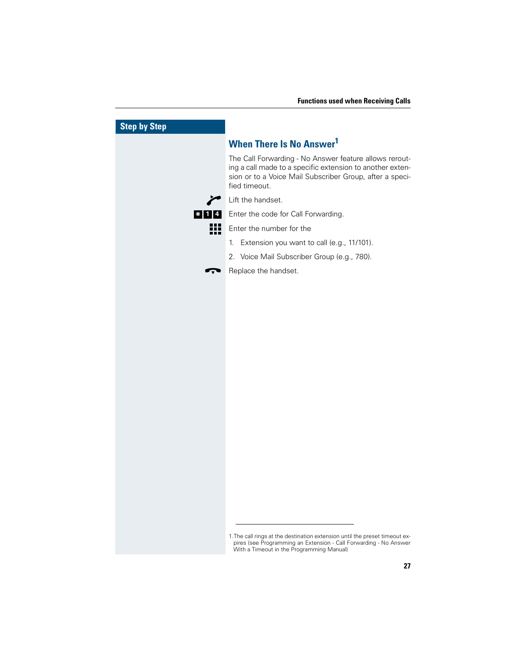| <b>Step by Step</b> |                                                                                                                                                                                                  |
|---------------------|--------------------------------------------------------------------------------------------------------------------------------------------------------------------------------------------------|
|                     | <b>When There Is No Answer1</b>                                                                                                                                                                  |
|                     | The Call Forwarding - No Answer feature allows rerout-<br>ing a call made to a specific extension to another exten-<br>sion or to a Voice Mail Subscriber Group, after a speci-<br>fied timeout. |
|                     | Lift the handset.                                                                                                                                                                                |
| $* 1 4 $            | Enter the code for Call Forwarding.                                                                                                                                                              |
| Ħ                   | Enter the number for the                                                                                                                                                                         |
|                     | Extension you want to call (e.g., 11/101).<br>$1_{\cdot}$                                                                                                                                        |
|                     | 2. Voice Mail Subscriber Group (e.g., 780).                                                                                                                                                      |
|                     | Replace the handset.                                                                                                                                                                             |
|                     |                                                                                                                                                                                                  |
|                     |                                                                                                                                                                                                  |
|                     |                                                                                                                                                                                                  |
|                     |                                                                                                                                                                                                  |
|                     |                                                                                                                                                                                                  |
|                     |                                                                                                                                                                                                  |
|                     |                                                                                                                                                                                                  |
|                     |                                                                                                                                                                                                  |
|                     |                                                                                                                                                                                                  |
|                     |                                                                                                                                                                                                  |
|                     |                                                                                                                                                                                                  |
|                     |                                                                                                                                                                                                  |
|                     |                                                                                                                                                                                                  |
|                     |                                                                                                                                                                                                  |
|                     |                                                                                                                                                                                                  |
|                     |                                                                                                                                                                                                  |
|                     |                                                                                                                                                                                                  |
|                     | 1. The call rings at the destination extension until the preset timeout ex-<br>pires (see Programming an Extension - Call Forwarding - No Answer<br>With a Timeout in the Programming Manual)    |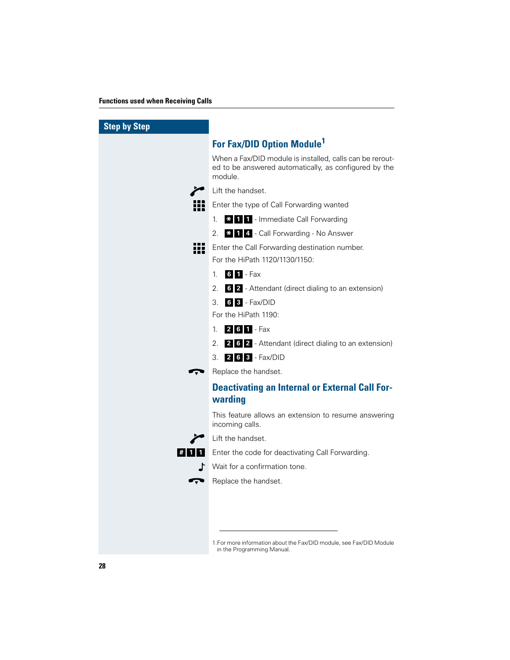| <b>Step by Step</b> |                                                                                                                              |
|---------------------|------------------------------------------------------------------------------------------------------------------------------|
|                     | For Fax/DID Option Module <sup>1</sup>                                                                                       |
|                     | When a Fax/DID module is installed, calls can be rerout-<br>ed to be answered automatically, as configured by the<br>module. |
|                     | Lift the handset.                                                                                                            |
|                     | Enter the type of Call Forwarding wanted                                                                                     |
|                     | <b>*</b> 1 1 - Immediate Call Forwarding<br>1.                                                                               |
|                     | * 1 4 - Call Forwarding - No Answer<br>2.                                                                                    |
| ₩                   | Enter the Call Forwarding destination number.<br>For the HiPath 1120/1130/1150:                                              |
|                     | $6$ 1 - Fax<br>1.                                                                                                            |
|                     | 6 2 - Attendant (direct dialing to an extension)<br>2.                                                                       |
|                     | $63 - Fax/DID$<br>3.                                                                                                         |
|                     | For the HiPath 1190:                                                                                                         |
|                     | $2$ 6 1 - Fax<br>$\mathbf{1}$                                                                                                |
|                     | 2. 2 6 2 - Attendant (direct dialing to an extension)                                                                        |
|                     | 3. <b>2 6 3</b> - Fax/DID                                                                                                    |
|                     | Replace the handset.                                                                                                         |
|                     | <b>Deactivating an Internal or External Call For-</b><br>warding                                                             |
|                     | This feature allows an extension to resume answering<br>incoming calls.                                                      |
|                     | Lift the handset.                                                                                                            |
| <b>#111</b>         | Enter the code for deactivating Call Forwarding.                                                                             |
|                     | Wait for a confirmation tone.                                                                                                |
|                     | Replace the handset.                                                                                                         |
|                     |                                                                                                                              |
|                     |                                                                                                                              |
|                     |                                                                                                                              |
|                     | 1. For more information about the Fax/DID module, see Fax/DID Module                                                         |

in the Programming Manual.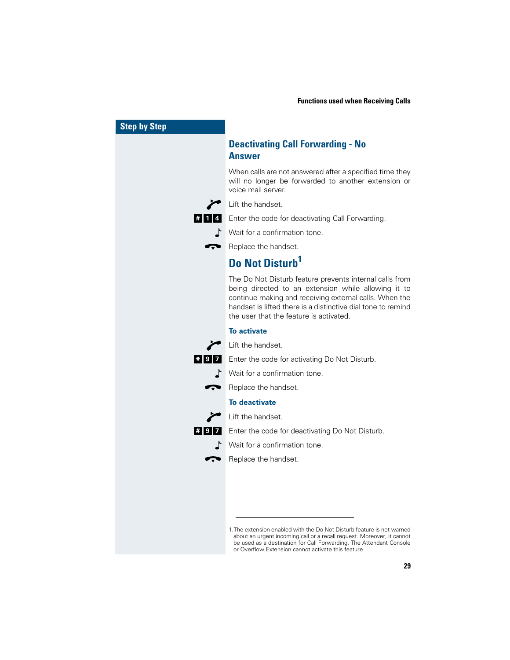| <b>Step by Step</b> |                                                                                                                                                                                                                                                                                     |
|---------------------|-------------------------------------------------------------------------------------------------------------------------------------------------------------------------------------------------------------------------------------------------------------------------------------|
|                     | <b>Deactivating Call Forwarding - No</b><br><b>Answer</b>                                                                                                                                                                                                                           |
|                     | When calls are not answered after a specified time they<br>will no longer be forwarded to another extension or<br>voice mail server.                                                                                                                                                |
|                     | Lift the handset.                                                                                                                                                                                                                                                                   |
| $#$  1              | Enter the code for deactivating Call Forwarding.                                                                                                                                                                                                                                    |
|                     | Wait for a confirmation tone.                                                                                                                                                                                                                                                       |
|                     | Replace the handset.                                                                                                                                                                                                                                                                |
|                     | <b>Do Not Disturb<sup>1</sup></b>                                                                                                                                                                                                                                                   |
|                     | The Do Not Disturb feature prevents internal calls from<br>being directed to an extension while allowing it to<br>continue making and receiving external calls. When the<br>handset is lifted there is a distinctive dial tone to remind<br>the user that the feature is activated. |
|                     | <b>To activate</b>                                                                                                                                                                                                                                                                  |
|                     | Lift the handset.                                                                                                                                                                                                                                                                   |
| $* 9 7$             | Enter the code for activating Do Not Disturb.                                                                                                                                                                                                                                       |
|                     | $\Gamma$ Wait for a confirmation tone.                                                                                                                                                                                                                                              |
| $\mathbf{r}$        | Replace the handset.                                                                                                                                                                                                                                                                |
|                     | <b>To deactivate</b>                                                                                                                                                                                                                                                                |
|                     | Lift the handset.                                                                                                                                                                                                                                                                   |
| #97                 | Enter the code for deactivating Do Not Disturb.                                                                                                                                                                                                                                     |
| L.                  | Wait for a confirmation tone.                                                                                                                                                                                                                                                       |
|                     | Replace the handset.                                                                                                                                                                                                                                                                |
|                     |                                                                                                                                                                                                                                                                                     |
|                     |                                                                                                                                                                                                                                                                                     |
|                     |                                                                                                                                                                                                                                                                                     |
|                     | 1. The extension enabled with the Do Not Disturb feature is not warned<br>about an urgent incoming call or a recall request. Moreover, it cannot<br>be used as a destination for Call Forwarding. The Attendant Console<br>or Overflow Extension cannot activate this feature.      |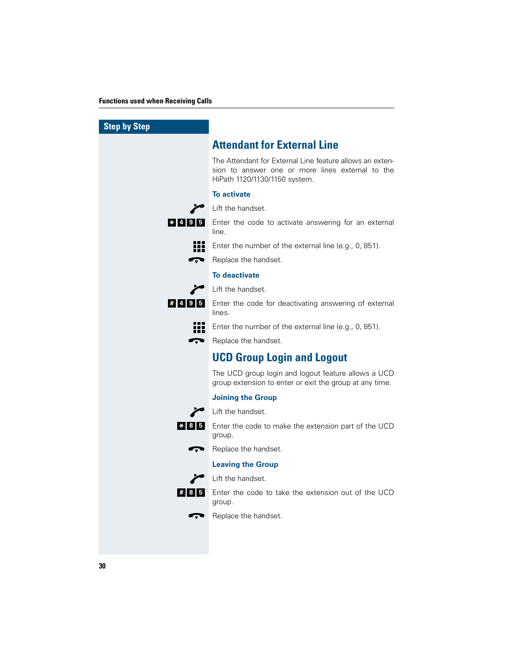| <b>Step by Step</b> |                                                                                                                                               |
|---------------------|-----------------------------------------------------------------------------------------------------------------------------------------------|
|                     | <b>Attendant for External Line</b>                                                                                                            |
|                     | The Attendant for External Line feature allows an exten-<br>sion to answer one or more lines external to the<br>HiPath 1120/1130/1150 system. |
|                     | <b>To activate</b>                                                                                                                            |
|                     | Lift the handset.                                                                                                                             |
| $* 4 9 5$           | Enter the code to activate answering for an external<br>line.                                                                                 |
|                     | Enter the number of the external line (e.g., 0, 851).                                                                                         |
| Ţ                   | Replace the handset.                                                                                                                          |
|                     | <b>To deactivate</b>                                                                                                                          |
|                     | Lift the handset.                                                                                                                             |
| #495                | Enter the code for deactivating answering of external<br>lines.                                                                               |
|                     | Enter the number of the external line (e.g., 0, 851).                                                                                         |
| Ģ                   | Replace the handset.                                                                                                                          |
|                     | <b>UCD Group Login and Logout</b>                                                                                                             |
|                     | The UCD group login and logout feature allows a UCD<br>group extension to enter or exit the group at any time.                                |
|                     | <b>Joining the Group</b>                                                                                                                      |
|                     | Lift the handset.                                                                                                                             |
| $* 8 5$             | Enter the code to make the extension part of the UCD<br>group.                                                                                |
|                     | Replace the handset.                                                                                                                          |
|                     | <b>Leaving the Group</b>                                                                                                                      |
|                     | Lift the handset.                                                                                                                             |
| #85                 | Enter the code to take the extension out of the UCD<br>group.                                                                                 |
|                     | Replace the handset.                                                                                                                          |
|                     |                                                                                                                                               |
|                     |                                                                                                                                               |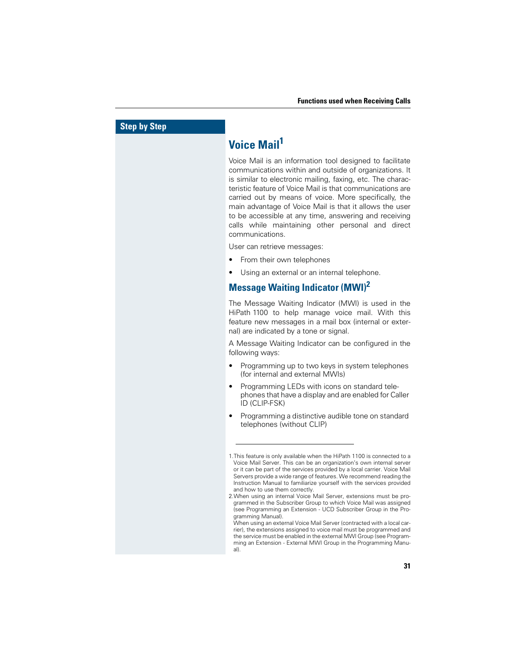## **Voice Mail<sup>1</sup>**

Voice Mail is an information tool designed to facilitate communications within and outside of organizations. It is similar to electronic mailing, faxing, etc. The characteristic feature of Voice Mail is that communications are carried out by means of voice. More specifically, the main advantage of Voice Mail is that it allows the user to be accessible at any time, answering and receiving calls while maintaining other personal and direct communications.

User can retrieve messages:

- From their own telephones
- Using an external or an internal telephone.

#### **Message Waiting Indicator (MWI)<sup>2</sup>**

The Message Waiting Indicator (MWI) is used in the HiPath 1100 to help manage voice mail. With this feature new messages in a mail box (internal or external) are indicated by a tone or signal.

A Message Waiting Indicator can be configured in the following ways:

- Programming up to two keys in system telephones (for internal and external MWIs)
- Programming LEDs with icons on standard telephones that have a display and are enabled for Caller ID (CLIP-FSK)
- Programming a distinctive audible tone on standard telephones (without CLIP)

<sup>1.</sup>This feature is only available when the HiPath 1100 is connected to a Voice Mail Server. This can be an organization's own internal server or it can be part of the services provided by a local carrier. Voice Mail Servers provide a wide range of features. We recommend reading the Instruction Manual to familiarize yourself with the services provided and how to use them correctly.

<sup>2.</sup>When using an internal Voice Mail Server, extensions must be programmed in the Subscriber Group to which Voice Mail was assigned (see Programming an Extension - UCD Subscriber Group in the Programming Manual).

When using an external Voice Mail Server (contracted with a local carrier), the extensions assigned to voice mail must be programmed and the service must be enabled in the external MWI Group (see Programming an Extension - External MWI Group in the Programming Manual).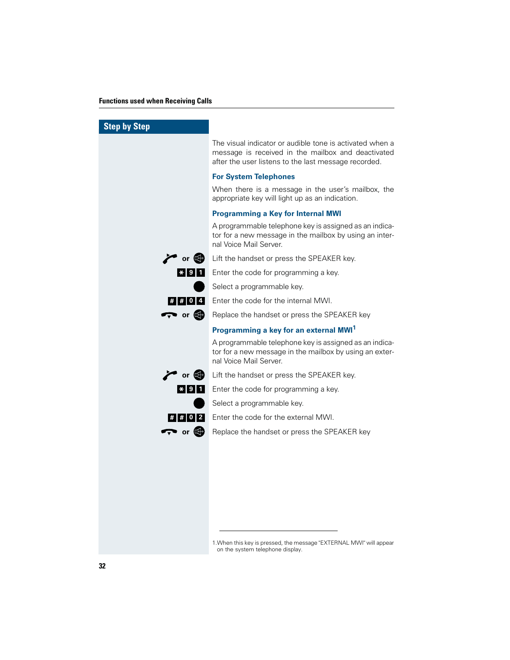| <b>Step by Step</b>        |                                                                                                                                                                        |
|----------------------------|------------------------------------------------------------------------------------------------------------------------------------------------------------------------|
|                            | The visual indicator or audible tone is activated when a<br>message is received in the mailbox and deactivated<br>after the user listens to the last message recorded. |
|                            | <b>For System Telephones</b>                                                                                                                                           |
|                            | When there is a message in the user's mailbox, the<br>appropriate key will light up as an indication.                                                                  |
|                            | <b>Programming a Key for Internal MWI</b>                                                                                                                              |
|                            | A programmable telephone key is assigned as an indica-<br>tor for a new message in the mailbox by using an inter-<br>nal Voice Mail Server.                            |
| $\sim$ or $\bullet$        | Lift the handset or press the SPEAKER key.                                                                                                                             |
| $*$ 9 1                    | Enter the code for programming a key.                                                                                                                                  |
|                            | Select a programmable key.                                                                                                                                             |
| <b>##04</b>                | Enter the code for the internal MWI.                                                                                                                                   |
| $\rightarrow$ or $\bullet$ | Replace the handset or press the SPEAKER key                                                                                                                           |
|                            | Programming a key for an external MWI <sup>1</sup>                                                                                                                     |
|                            | A programmable telephone key is assigned as an indica-<br>tor for a new message in the mailbox by using an exter-<br>nal Voice Mail Server.                            |
| $\sim$ or $\bullet$        | Lift the handset or press the SPEAKER key.                                                                                                                             |
| $* 9$<br>O I               | Enter the code for programming a key.                                                                                                                                  |
|                            | Select a programmable key.                                                                                                                                             |
| ##02                       | Enter the code for the external MWI.                                                                                                                                   |
| $\rightarrow$ or $\bullet$ | Replace the handset or press the SPEAKER key                                                                                                                           |
|                            |                                                                                                                                                                        |
|                            |                                                                                                                                                                        |
|                            |                                                                                                                                                                        |
|                            |                                                                                                                                                                        |
|                            |                                                                                                                                                                        |
|                            |                                                                                                                                                                        |
|                            |                                                                                                                                                                        |
|                            | 1. When this key is pressed, the message "EXTERNAL MWI" will appear<br>on the system telephone display.                                                                |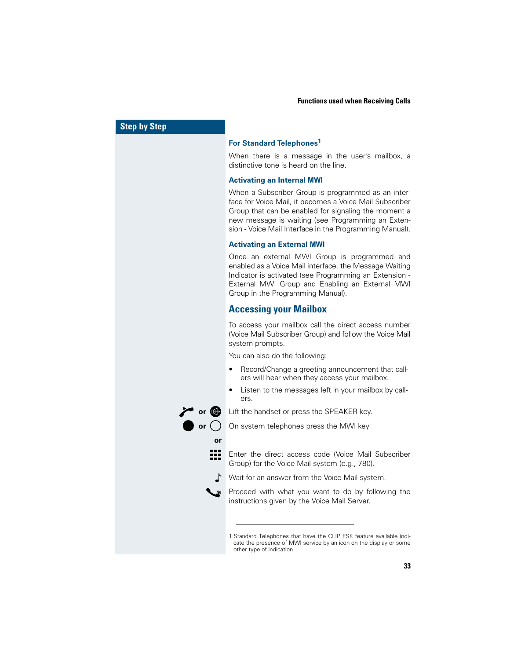#### **For Standard Telephones1**

When there is a message in the user's mailbox, a distinctive tone is heard on the line.

#### **Activating an Internal MWI**

When a Subscriber Group is programmed as an interface for Voice Mail, it becomes a Voice Mail Subscriber Group that can be enabled for signaling the moment a new message is waiting (see Programming an Extension - Voice Mail Interface in the Programming Manual).

#### **Activating an External MWI**

Once an external MWI Group is programmed and enabled as a Voice Mail interface, the Message Waiting Indicator is activated (see Programming an Extension - External MWI Group and Enabling an External MWI Group in the Programming Manual).

#### **Accessing your Mailbox**

To access your mailbox call the direct access number (Voice Mail Subscriber Group) and follow the Voice Mail system prompts.

You can also do the following:

- Record/Change a greeting announcement that callers will hear when they access your mailbox.
- Listen to the messages left in your mailbox by callers.
- **or** G Lift the handset or press the SPEAKER key.<br> **or** O On system telephones press the MWI key

On system telephones press the MWI key

#### **or**

- ₩ Enter the direct access code (Voice Mail Subscriber Group) for the Voice Mail system (e.g., 780).
	- ſ. Wait for an answer from the Voice Mail system.

Proceed with what you want to do by following the instructions given by the Voice Mail Server.

1.Standard Telephones that have the CLIP FSK feature available indicate the presence of MWI service by an icon on the display or some other type of indication.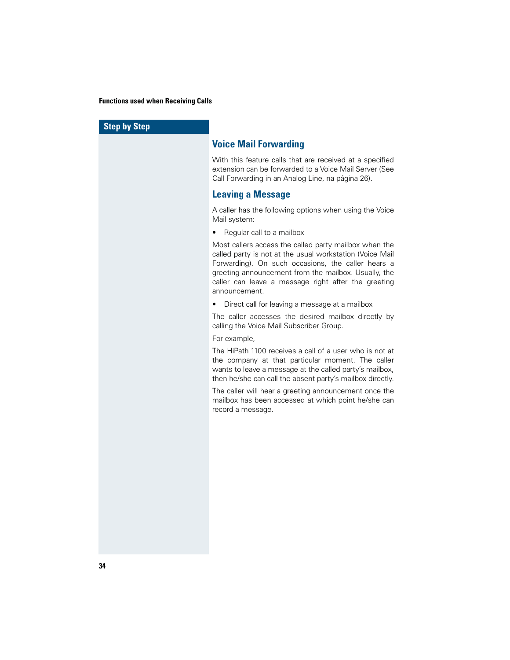#### **Voice Mail Forwarding**

With this feature calls that are received at a specified extension can be forwarded to a Voice Mail Server (See Call Forwarding in an Analog Line, na página 26).

#### **Leaving a Message**

A caller has the following options when using the Voice Mail system:

• Regular call to a mailbox

Most callers access the called party mailbox when the called party is not at the usual workstation (Voice Mail Forwarding). On such occasions, the caller hears a greeting announcement from the mailbox. Usually, the caller can leave a message right after the greeting announcement.

• Direct call for leaving a message at a mailbox

The caller accesses the desired mailbox directly by calling the Voice Mail Subscriber Group.

#### For example,

The HiPath 1100 receives a call of a user who is not at the company at that particular moment. The caller wants to leave a message at the called party's mailbox, then he/she can call the absent party's mailbox directly.

The caller will hear a greeting announcement once the mailbox has been accessed at which point he/she can record a message.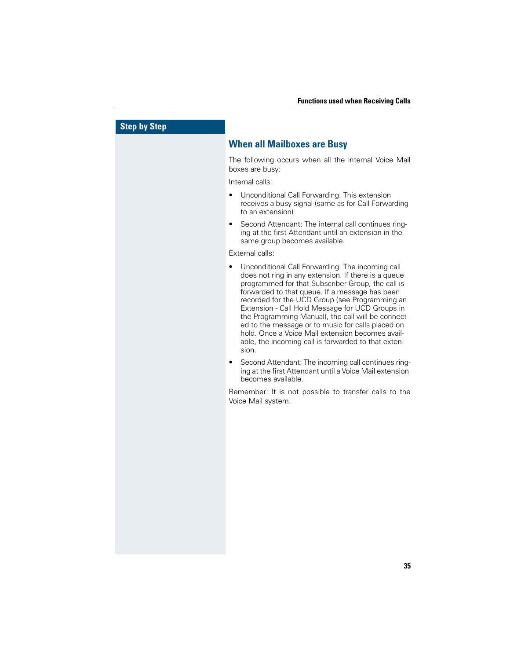#### **When all Mailboxes are Busy**

The following occurs when all the internal Voice Mail boxes are busy:

Internal calls:

- Unconditional Call Forwarding: This extension receives a busy signal (same as for Call Forwarding to an extension)
- Second Attendant: The internal call continues ringing at the first Attendant until an extension in the same group becomes available.

#### External calls:

- Unconditional Call Forwarding: The incoming call does not ring in any extension. If there is a queue programmed for that Subscriber Group, the call is forwarded to that queue. If a message has been recorded for the UCD Group (see Programming an Extension - Call Hold Message for UCD Groups in the Programming Manual), the call will be connected to the message or to music for calls placed on hold. Once a Voice Mail extension becomes available, the incoming call is forwarded to that extension.
- Second Attendant: The incoming call continues ringing at the first Attendant until a Voice Mail extension becomes available.

Remember: It is not possible to transfer calls to the Voice Mail system.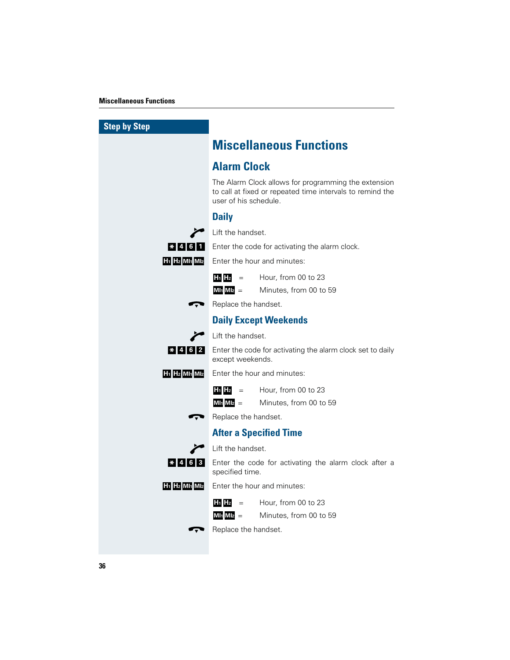| <b>Step by Step</b>                                           |                                                                                                                                            |
|---------------------------------------------------------------|--------------------------------------------------------------------------------------------------------------------------------------------|
|                                                               | <b>Miscellaneous Functions</b>                                                                                                             |
|                                                               | <b>Alarm Clock</b>                                                                                                                         |
|                                                               | The Alarm Clock allows for programming the extension<br>to call at fixed or repeated time intervals to remind the<br>user of his schedule. |
|                                                               | <b>Daily</b>                                                                                                                               |
|                                                               | Lift the handset.                                                                                                                          |
| $*$ 4 6 1                                                     | Enter the code for activating the alarm clock.                                                                                             |
| H <sub>1</sub> H <sub>2</sub> MI <sub>1</sub> MI <sub>2</sub> | Enter the hour and minutes:                                                                                                                |
|                                                               | $H_1$ $H_2$<br>Hour, from 00 to 23<br>$=$                                                                                                  |
|                                                               | $M1_1 M1_2 =$<br>Minutes, from 00 to 59                                                                                                    |
|                                                               | Replace the handset.                                                                                                                       |
|                                                               | <b>Daily Except Weekends</b>                                                                                                               |
|                                                               | Lift the handset.                                                                                                                          |
| $*$  4 6 2                                                    | Enter the code for activating the alarm clock set to daily<br>except weekends.                                                             |
| H <sub>1</sub> H <sub>2</sub> MI <sub>1</sub> MI <sub>2</sub> | Enter the hour and minutes:                                                                                                                |
|                                                               | $H_1$ $H_2$<br>Hour, from 00 to 23<br>$=$                                                                                                  |
|                                                               | $M1_1 M1_2 =$<br>Minutes, from 00 to 59                                                                                                    |
|                                                               | Replace the handset.                                                                                                                       |
|                                                               | <b>After a Specified Time</b>                                                                                                              |
|                                                               | Lift the handset.                                                                                                                          |
| $*$ 4 6 3                                                     | Enter the code for activating the alarm clock after a<br>specified time.                                                                   |
| H <sub>1</sub> H <sub>2</sub> MI <sub>1</sub> MI <sub>2</sub> | Enter the hour and minutes:                                                                                                                |
|                                                               | $H_1$ $H_2$<br>Hour, from 00 to 23<br>$=$                                                                                                  |
|                                                               | Minutes, from 00 to 59<br>$M1_1$ $M1_2$ $=$                                                                                                |
|                                                               | Replace the handset.                                                                                                                       |
|                                                               |                                                                                                                                            |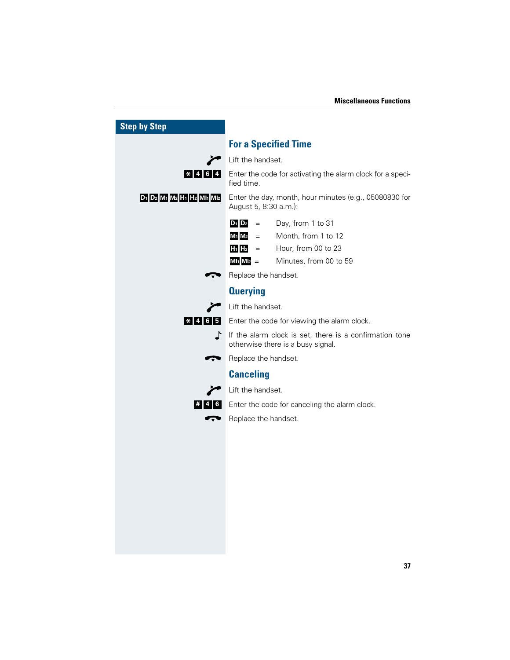| <b>Step by Step</b>       |                                                                                              |
|---------------------------|----------------------------------------------------------------------------------------------|
|                           | <b>For a Specified Time</b>                                                                  |
|                           | Lift the handset.                                                                            |
| $* 4 6 4$                 | Enter the code for activating the alarm clock for a speci-<br>fied time.                     |
| D1 D2 M1 M2 H1 H2 MI1 MI2 | Enter the day, month, hour minutes (e.g., 05080830 for<br>August 5, 8:30 a.m.):              |
|                           | Day, from 1 to 31<br>$D_1$ $D_2$<br>$\equiv$                                                 |
|                           | Month, from 1 to 12<br>M <sub>1</sub> M <sub>2</sub><br>$=$                                  |
|                           | $H_1$ $H_2$<br>Hour, from 00 to 23<br>$\alpha = 1$ and $\alpha$                              |
|                           | $M1_1 M1_2 =$<br>Minutes, from 00 to 59                                                      |
|                           | Replace the handset.                                                                         |
|                           | <b>Querying</b>                                                                              |
|                           | Lift the handset.                                                                            |
| $*$ 4 6 5                 | Enter the code for viewing the alarm clock.                                                  |
| ♪                         | If the alarm clock is set, there is a confirmation tone<br>otherwise there is a busy signal. |
|                           | Replace the handset.                                                                         |
|                           | <b>Canceling</b>                                                                             |
|                           | Lift the handset.                                                                            |
| # 4 6                     | Enter the code for canceling the alarm clock.                                                |
|                           | Replace the handset.                                                                         |
|                           |                                                                                              |
|                           |                                                                                              |
|                           |                                                                                              |
|                           |                                                                                              |
|                           |                                                                                              |
|                           |                                                                                              |
|                           |                                                                                              |
|                           |                                                                                              |
|                           |                                                                                              |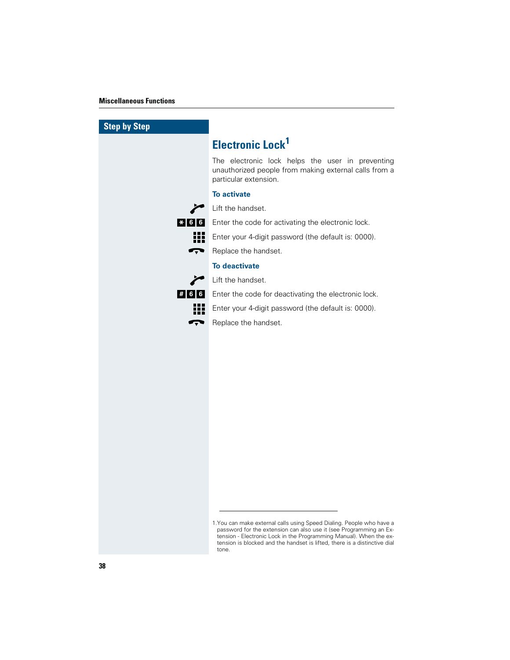| <b>Step by Step</b> |                                                                                                                                                                                                                                                                                                |
|---------------------|------------------------------------------------------------------------------------------------------------------------------------------------------------------------------------------------------------------------------------------------------------------------------------------------|
|                     | <b>Electronic Lock<sup>1</sup></b>                                                                                                                                                                                                                                                             |
|                     | The electronic lock helps the user in preventing<br>unauthorized people from making external calls from a<br>particular extension.                                                                                                                                                             |
|                     | <b>To activate</b>                                                                                                                                                                                                                                                                             |
|                     | Lift the handset.                                                                                                                                                                                                                                                                              |
| $* 6 6$             | Enter the code for activating the electronic lock.                                                                                                                                                                                                                                             |
| 33                  | Enter your 4-digit password (the default is: 0000).                                                                                                                                                                                                                                            |
| Ţ                   | Replace the handset.                                                                                                                                                                                                                                                                           |
|                     | <b>To deactivate</b>                                                                                                                                                                                                                                                                           |
|                     | Lift the handset.                                                                                                                                                                                                                                                                              |
| # 6 6               | Enter the code for deactivating the electronic lock.                                                                                                                                                                                                                                           |
| iii                 | Enter your 4-digit password (the default is: 0000).                                                                                                                                                                                                                                            |
| <del>−</del>        | Replace the handset.                                                                                                                                                                                                                                                                           |
|                     |                                                                                                                                                                                                                                                                                                |
|                     |                                                                                                                                                                                                                                                                                                |
|                     |                                                                                                                                                                                                                                                                                                |
|                     |                                                                                                                                                                                                                                                                                                |
|                     |                                                                                                                                                                                                                                                                                                |
|                     |                                                                                                                                                                                                                                                                                                |
|                     |                                                                                                                                                                                                                                                                                                |
|                     |                                                                                                                                                                                                                                                                                                |
|                     |                                                                                                                                                                                                                                                                                                |
|                     |                                                                                                                                                                                                                                                                                                |
|                     |                                                                                                                                                                                                                                                                                                |
|                     |                                                                                                                                                                                                                                                                                                |
|                     |                                                                                                                                                                                                                                                                                                |
|                     | 1. You can make external calls using Speed Dialing. People who have a<br>password for the extension can also use it (see Programming an Ex-<br>tension - Electronic Lock in the Programming Manual). When the ex-<br>tension is blocked and the handset is lifted, there is a distinctive dial |

tone.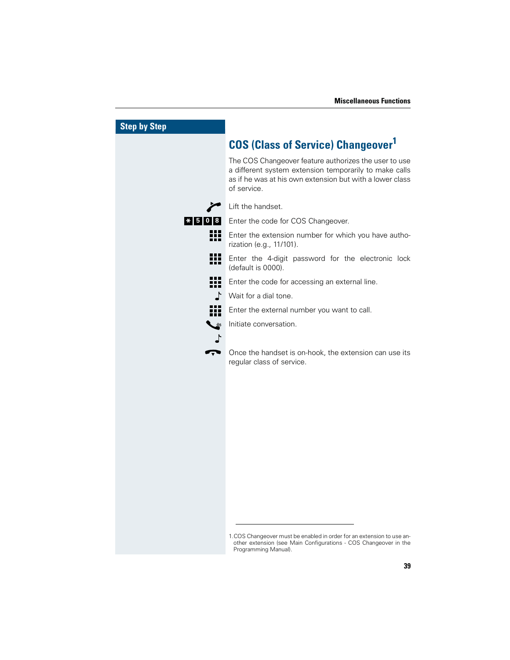| <b>Step by Step</b> |                                                                                                                                                                                            |
|---------------------|--------------------------------------------------------------------------------------------------------------------------------------------------------------------------------------------|
|                     | <b>COS (Class of Service) Changeover<sup>1</sup></b>                                                                                                                                       |
|                     | The COS Changeover feature authorizes the user to use<br>a different system extension temporarily to make calls<br>as if he was at his own extension but with a lower class<br>of service. |
|                     | Lift the handset.                                                                                                                                                                          |
| $* 5 0 8$           | Enter the code for COS Changeover.                                                                                                                                                         |
| Æ                   | Enter the extension number for which you have autho-<br>rization (e.g., 11/101).                                                                                                           |
| ₩                   | Enter the 4-digit password for the electronic lock<br>(default is 0000).                                                                                                                   |
| 照                   | Enter the code for accessing an external line.                                                                                                                                             |
| ╻                   | Wait for a dial tone.                                                                                                                                                                      |
| 99                  | Enter the external number you want to call.                                                                                                                                                |
| き                   | Initiate conversation.                                                                                                                                                                     |
|                     |                                                                                                                                                                                            |
| Ţ                   | Once the handset is on-hook, the extension can use its<br>regular class of service.                                                                                                        |
|                     |                                                                                                                                                                                            |
|                     |                                                                                                                                                                                            |
|                     |                                                                                                                                                                                            |
|                     |                                                                                                                                                                                            |
|                     |                                                                                                                                                                                            |
|                     |                                                                                                                                                                                            |
|                     |                                                                                                                                                                                            |
|                     |                                                                                                                                                                                            |
|                     |                                                                                                                                                                                            |
|                     |                                                                                                                                                                                            |
|                     | 1.COS Changeover must be enabled in order for an extension to use an-                                                                                                                      |
|                     | other extension (see Main Configurations - COS Changeover in the<br>Programming Manual).                                                                                                   |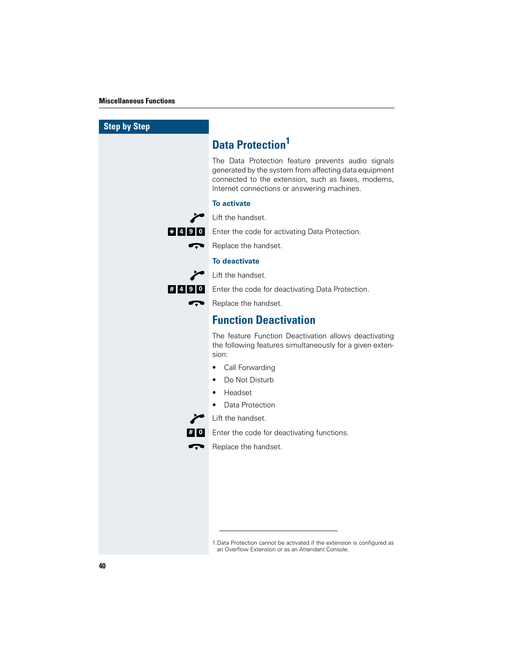| <b>Step by Step</b> |                                                                                                                                                                                                                  |
|---------------------|------------------------------------------------------------------------------------------------------------------------------------------------------------------------------------------------------------------|
|                     | <b>Data Protection<sup>1</sup></b>                                                                                                                                                                               |
|                     | The Data Protection feature prevents audio signals<br>generated by the system from affecting data equipment<br>connected to the extension, such as faxes, modems,<br>Internet connections or answering machines. |
|                     | <b>To activate</b>                                                                                                                                                                                               |
|                     | Lift the handset.                                                                                                                                                                                                |
|                     | * 4 9 0 Enter the code for activating Data Protection.                                                                                                                                                           |
| r, v                | Replace the handset.                                                                                                                                                                                             |
|                     | <b>To deactivate</b>                                                                                                                                                                                             |
|                     | Lift the handset.                                                                                                                                                                                                |
|                     | # 4 9 0 Enter the code for deactivating Data Protection.                                                                                                                                                         |
| Ţ                   | Replace the handset.                                                                                                                                                                                             |
|                     | <b>Function Deactivation</b>                                                                                                                                                                                     |
|                     | The feature Function Deactivation allows deactivating<br>the following features simultaneously for a given exten-<br>sion:                                                                                       |
|                     | Call Forwarding                                                                                                                                                                                                  |
|                     | Do Not Disturb<br>$\bullet$                                                                                                                                                                                      |
|                     | Headset                                                                                                                                                                                                          |
|                     | Data Protection                                                                                                                                                                                                  |
|                     | Lift the handset.                                                                                                                                                                                                |
|                     | Enter the code for deactivating functions.                                                                                                                                                                       |
|                     | Replace the handset.                                                                                                                                                                                             |
|                     |                                                                                                                                                                                                                  |
|                     |                                                                                                                                                                                                                  |
|                     |                                                                                                                                                                                                                  |
|                     |                                                                                                                                                                                                                  |
|                     |                                                                                                                                                                                                                  |
|                     |                                                                                                                                                                                                                  |

1.Data Protection cannot be activated if the extension is configured as an Overflow Extension or as an Attendant Console.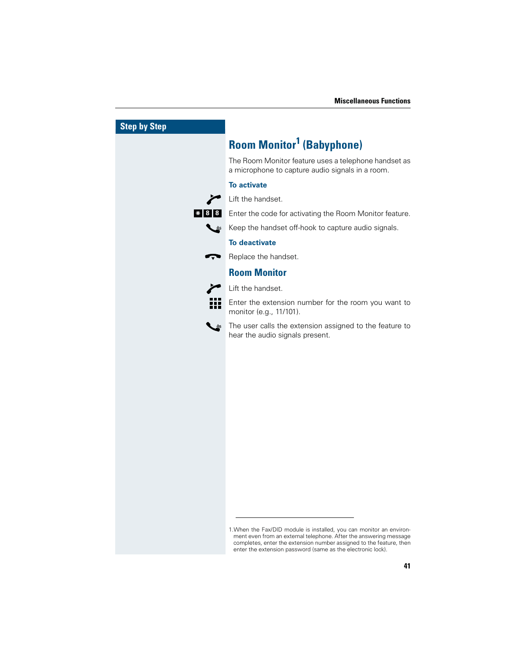| <b>Step by Step</b> |                                                                                                                                                                                                                                                                                 |
|---------------------|---------------------------------------------------------------------------------------------------------------------------------------------------------------------------------------------------------------------------------------------------------------------------------|
|                     | <b>Room Monitor<sup>1</sup> (Babyphone)</b>                                                                                                                                                                                                                                     |
|                     | The Room Monitor feature uses a telephone handset as<br>a microphone to capture audio signals in a room.                                                                                                                                                                        |
|                     | <b>To activate</b>                                                                                                                                                                                                                                                              |
|                     | Lift the handset.                                                                                                                                                                                                                                                               |
| $*$   8   8         | Enter the code for activating the Room Monitor feature.                                                                                                                                                                                                                         |
|                     | Keep the handset off-hook to capture audio signals.                                                                                                                                                                                                                             |
|                     | <b>To deactivate</b>                                                                                                                                                                                                                                                            |
|                     | Replace the handset.                                                                                                                                                                                                                                                            |
|                     | <b>Room Monitor</b>                                                                                                                                                                                                                                                             |
|                     | Lift the handset.                                                                                                                                                                                                                                                               |
|                     | Enter the extension number for the room you want to<br>monitor (e.g., 11/101).                                                                                                                                                                                                  |
|                     | The user calls the extension assigned to the feature to<br>hear the audio signals present.                                                                                                                                                                                      |
|                     |                                                                                                                                                                                                                                                                                 |
|                     |                                                                                                                                                                                                                                                                                 |
|                     |                                                                                                                                                                                                                                                                                 |
|                     |                                                                                                                                                                                                                                                                                 |
|                     |                                                                                                                                                                                                                                                                                 |
|                     |                                                                                                                                                                                                                                                                                 |
|                     |                                                                                                                                                                                                                                                                                 |
|                     |                                                                                                                                                                                                                                                                                 |
|                     |                                                                                                                                                                                                                                                                                 |
|                     |                                                                                                                                                                                                                                                                                 |
|                     |                                                                                                                                                                                                                                                                                 |
|                     |                                                                                                                                                                                                                                                                                 |
|                     |                                                                                                                                                                                                                                                                                 |
|                     | 1. When the Fax/DID module is installed, you can monitor an environ-<br>ment even from an external telephone. After the answering message<br>completes, enter the extension number assigned to the feature, then<br>enter the extension password (same as the electronic lock). |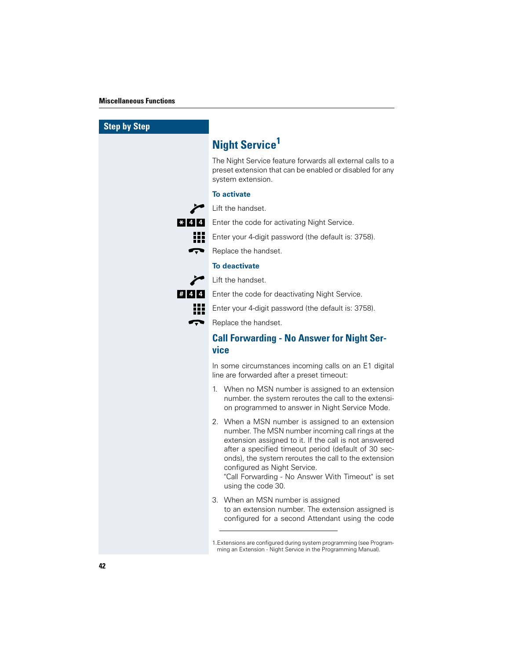| <b>Step by Step</b> |                                                                                                                                                                                                                                                                                                                                                                                           |
|---------------------|-------------------------------------------------------------------------------------------------------------------------------------------------------------------------------------------------------------------------------------------------------------------------------------------------------------------------------------------------------------------------------------------|
|                     | <b>Night Service<sup>1</sup></b>                                                                                                                                                                                                                                                                                                                                                          |
|                     | The Night Service feature forwards all external calls to a<br>preset extension that can be enabled or disabled for any<br>system extension.                                                                                                                                                                                                                                               |
|                     | <b>To activate</b>                                                                                                                                                                                                                                                                                                                                                                        |
|                     | Lift the handset.                                                                                                                                                                                                                                                                                                                                                                         |
| $* 4 4$             | Enter the code for activating Night Service.                                                                                                                                                                                                                                                                                                                                              |
| 18 S                | Enter your 4-digit password (the default is: 3758).                                                                                                                                                                                                                                                                                                                                       |
|                     | Replace the handset.                                                                                                                                                                                                                                                                                                                                                                      |
|                     | <b>To deactivate</b>                                                                                                                                                                                                                                                                                                                                                                      |
|                     | Lift the handset.                                                                                                                                                                                                                                                                                                                                                                         |
| # 4 4               | Enter the code for deactivating Night Service.                                                                                                                                                                                                                                                                                                                                            |
|                     | Enter your 4-digit password (the default is: 3758).                                                                                                                                                                                                                                                                                                                                       |
|                     | Replace the handset.                                                                                                                                                                                                                                                                                                                                                                      |
|                     |                                                                                                                                                                                                                                                                                                                                                                                           |
|                     | <b>Call Forwarding - No Answer for Night Ser-</b><br>vice                                                                                                                                                                                                                                                                                                                                 |
|                     | In some circumstances incoming calls on an E1 digital<br>line are forwarded after a preset timeout:                                                                                                                                                                                                                                                                                       |
|                     | When no MSN number is assigned to an extension<br>1.<br>number. the system reroutes the call to the extensi-<br>on programmed to answer in Night Service Mode.                                                                                                                                                                                                                            |
|                     | 2. When a MSN number is assigned to an extension<br>number. The MSN number incoming call rings at the<br>extension assigned to it. If the call is not answered<br>after a specified timeout period (default of 30 sec-<br>onds), the system reroutes the call to the extension<br>configured as Night Service.<br>"Call Forwarding - No Answer With Timeout" is set<br>using the code 30. |
|                     | 3. When an MSN number is assigned<br>to an extension number. The extension assigned is<br>configured for a second Attendant using the code                                                                                                                                                                                                                                                |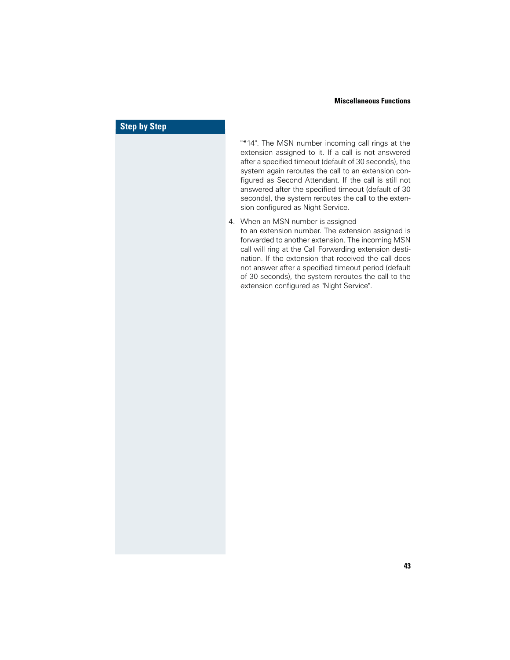# **Step by Step** "\*14". The MSN number incoming call rings at the extension assigned to it. If a call is not answered after a specified timeout (default of 30 seconds), the system again reroutes the call to an extension configured as Second Attendant. If the call is still not answered after the specified timeout (default of 30 seconds), the system reroutes the call to the extension configured as Night Service. 4. When an MSN number is assigned to an extension number. The extension assigned is forwarded to another extension. The incoming MSN call will ring at the Call Forwarding extension destination. If the extension that received the call does not answer after a specified timeout period (default of 30 seconds), the system reroutes the call to the extension configured as "Night Service".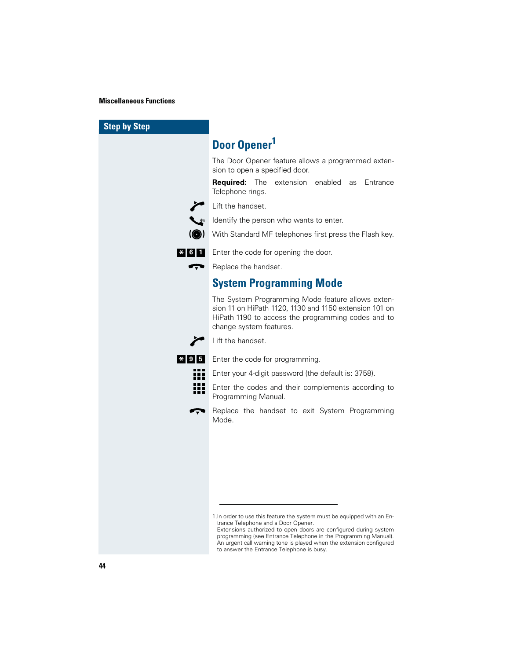| <b>Step by Step</b> |                                                                                                                                                                                                                                                                                                                                                                           |
|---------------------|---------------------------------------------------------------------------------------------------------------------------------------------------------------------------------------------------------------------------------------------------------------------------------------------------------------------------------------------------------------------------|
|                     | Door Opener <sup>1</sup>                                                                                                                                                                                                                                                                                                                                                  |
|                     | The Door Opener feature allows a programmed exten-<br>sion to open a specified door.                                                                                                                                                                                                                                                                                      |
|                     | <b>Required:</b><br>The<br>extension<br>enabled as<br>Entrance<br>Telephone rings.                                                                                                                                                                                                                                                                                        |
|                     | Lift the handset.                                                                                                                                                                                                                                                                                                                                                         |
|                     | Identify the person who wants to enter.                                                                                                                                                                                                                                                                                                                                   |
|                     | With Standard MF telephones first press the Flash key.                                                                                                                                                                                                                                                                                                                    |
| $\frac{1}{2}$ 6 1   | Enter the code for opening the door.                                                                                                                                                                                                                                                                                                                                      |
|                     | Replace the handset.                                                                                                                                                                                                                                                                                                                                                      |
|                     | <b>System Programming Mode</b>                                                                                                                                                                                                                                                                                                                                            |
|                     | The System Programming Mode feature allows exten-<br>sion 11 on HiPath 1120, 1130 and 1150 extension 101 on<br>HiPath 1190 to access the programming codes and to<br>change system features.                                                                                                                                                                              |
|                     | Lift the handset.                                                                                                                                                                                                                                                                                                                                                         |
| $*1915$             | Enter the code for programming.                                                                                                                                                                                                                                                                                                                                           |
| 7 H H               | Enter your 4-digit password (the default is: 3758).                                                                                                                                                                                                                                                                                                                       |
|                     | Enter the codes and their complements according to<br>Programming Manual.                                                                                                                                                                                                                                                                                                 |
|                     | Replace the handset to exit System Programming<br>Mode.                                                                                                                                                                                                                                                                                                                   |
|                     |                                                                                                                                                                                                                                                                                                                                                                           |
|                     |                                                                                                                                                                                                                                                                                                                                                                           |
|                     |                                                                                                                                                                                                                                                                                                                                                                           |
|                     |                                                                                                                                                                                                                                                                                                                                                                           |
|                     |                                                                                                                                                                                                                                                                                                                                                                           |
|                     | 1. In order to use this feature the system must be equipped with an En-<br>trance Telephone and a Door Opener.<br>Extensions authorized to open doors are configured during system<br>programming (see Entrance Telephone in the Programming Manual).<br>An urgent call warning tone is played when the extension configured<br>to answer the Entrance Telephone is busy. |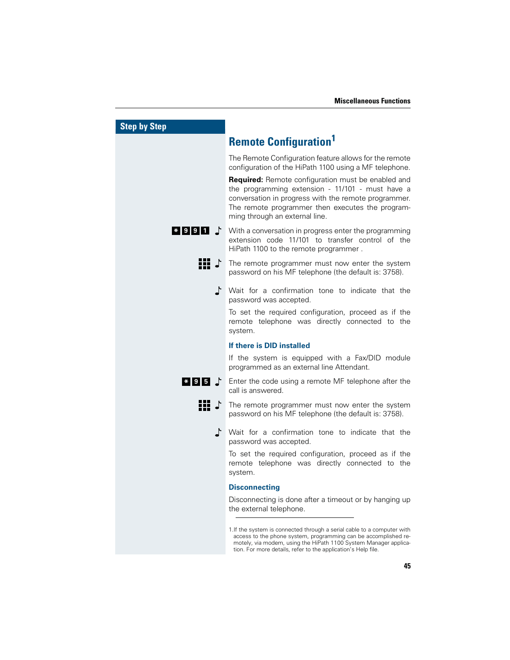| <b>Step by Step</b> |                                                                                                                                                                                                                                                                                 |
|---------------------|---------------------------------------------------------------------------------------------------------------------------------------------------------------------------------------------------------------------------------------------------------------------------------|
|                     | <b>Remote Configuration</b>                                                                                                                                                                                                                                                     |
|                     | The Remote Configuration feature allows for the remote<br>configuration of the HiPath 1100 using a MF telephone.                                                                                                                                                                |
|                     | Required: Remote configuration must be enabled and<br>the programming extension - 11/101 - must have a<br>conversation in progress with the remote programmer.<br>The remote programmer then executes the program-<br>ming through an external line.                            |
| $*$ 9 9 1 1         | With a conversation in progress enter the programming<br>extension code 11/101 to transfer control of the<br>HiPath 1100 to the remote programmer.                                                                                                                              |
| ij} ♪               | The remote programmer must now enter the system<br>password on his MF telephone (the default is: 3758).                                                                                                                                                                         |
|                     | Wait for a confirmation tone to indicate that the<br>password was accepted.                                                                                                                                                                                                     |
|                     | To set the required configuration, proceed as if the<br>remote telephone was directly connected to the<br>system.                                                                                                                                                               |
|                     | If there is DID installed                                                                                                                                                                                                                                                       |
|                     | If the system is equipped with a Fax/DID module<br>programmed as an external line Attendant.                                                                                                                                                                                    |
| $*$ 95 T            | Enter the code using a remote MF telephone after the<br>call is answered.                                                                                                                                                                                                       |
| ili 1               | The remote programmer must now enter the system<br>password on his MF telephone (the default is: 3758).                                                                                                                                                                         |
|                     | Wait for a confirmation tone to indicate that the<br>password was accepted.                                                                                                                                                                                                     |
|                     | To set the required configuration, proceed as if the<br>remote telephone was directly connected to the<br>system.                                                                                                                                                               |
|                     | <b>Disconnecting</b>                                                                                                                                                                                                                                                            |
|                     | Disconnecting is done after a timeout or by hanging up<br>the external telephone.                                                                                                                                                                                               |
|                     | 1. If the system is connected through a serial cable to a computer with<br>access to the phone system, programming can be accomplished re-<br>motely, via modem, using the HiPath 1100 System Manager applica-<br>tion. For more details, refer to the application's Help file. |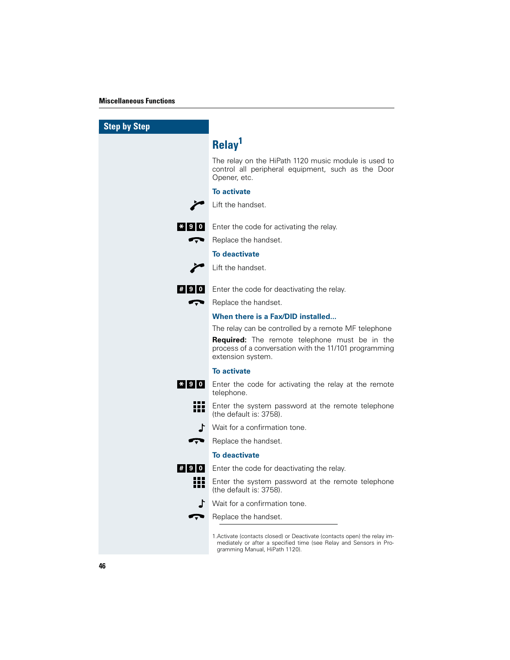L

| <b>Step by Step</b> |                                                                                                                                                                                   |
|---------------------|-----------------------------------------------------------------------------------------------------------------------------------------------------------------------------------|
|                     | Relay <sup>1</sup>                                                                                                                                                                |
|                     | The relay on the HiPath 1120 music module is used to<br>control all peripheral equipment, such as the Door<br>Opener, etc.                                                        |
|                     | <b>To activate</b>                                                                                                                                                                |
|                     | Lift the handset.                                                                                                                                                                 |
| $*$ 90              | Enter the code for activating the relay.                                                                                                                                          |
| œ                   | Replace the handset.                                                                                                                                                              |
|                     | <b>To deactivate</b>                                                                                                                                                              |
|                     | Lift the handset.                                                                                                                                                                 |
|                     | # 9 0 Enter the code for deactivating the relay.                                                                                                                                  |
| Ţ                   | Replace the handset.                                                                                                                                                              |
|                     | When there is a Fax/DID installed                                                                                                                                                 |
|                     | The relay can be controlled by a remote MF telephone                                                                                                                              |
|                     | <b>Required:</b> The remote telephone must be in the<br>process of a conversation with the 11/101 programming<br>extension system.                                                |
|                     | <b>To activate</b>                                                                                                                                                                |
| * 9 0               | Enter the code for activating the relay at the remote<br>telephone.                                                                                                               |
| Ħ                   | Enter the system password at the remote telephone<br>(the default is: 3758).                                                                                                      |
|                     | Wait for a confirmation tone.                                                                                                                                                     |
| Ţ                   | Replace the handset.                                                                                                                                                              |
|                     | <b>To deactivate</b>                                                                                                                                                              |
| # 9 0               | Enter the code for deactivating the relay.                                                                                                                                        |
| Ħ                   | Enter the system password at the remote telephone<br>(the default is: 3758).                                                                                                      |
| ♪                   | Wait for a confirmation tone.                                                                                                                                                     |
| Ţ                   | Replace the handset.                                                                                                                                                              |
|                     | 1. Activate (contacts closed) or Deactivate (contacts open) the relay im-<br>mediately or after a specified time (see Relay and Sensors in Pro-<br>gramming Manual, HiPath 1120). |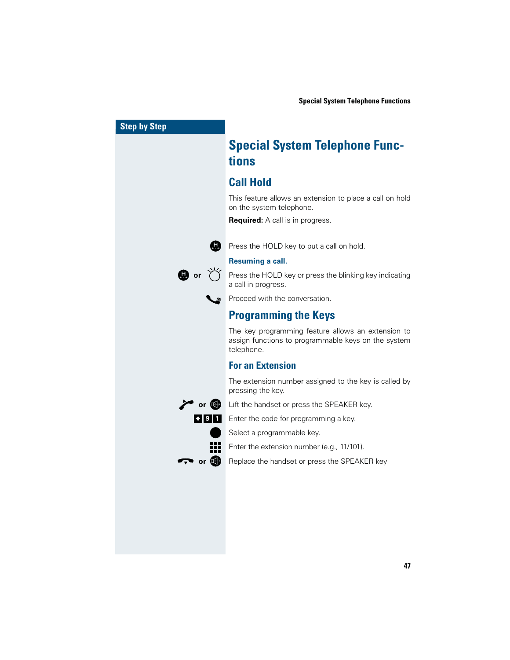| <b>Step by Step</b> |                                                                                                                         |
|---------------------|-------------------------------------------------------------------------------------------------------------------------|
|                     | <b>Special System Telephone Func-</b>                                                                                   |
|                     | tions                                                                                                                   |
|                     | <b>Call Hold</b>                                                                                                        |
|                     | This feature allows an extension to place a call on hold<br>on the system telephone.                                    |
|                     | <b>Required:</b> A call is in progress.                                                                                 |
|                     | Press the HOLD key to put a call on hold.                                                                               |
|                     | <b>Resuming a call.</b>                                                                                                 |
| $\mathbf ①$ or      | Press the HOLD key or press the blinking key indicating<br>a call in progress.                                          |
|                     | Proceed with the conversation.                                                                                          |
|                     | <b>Programming the Keys</b>                                                                                             |
|                     | The key programming feature allows an extension to<br>assign functions to programmable keys on the system<br>telephone. |
|                     | <b>For an Extension</b>                                                                                                 |
|                     | The extension number assigned to the key is called by<br>pressing the key.                                              |
| $\sim$ or $\bullet$ | Lift the handset or press the SPEAKER key.                                                                              |
| $*$  9 1            | Enter the code for programming a key.                                                                                   |
|                     | Select a programmable key.                                                                                              |
|                     | Enter the extension number (e.g., 11/101).                                                                              |
| or $\bigcirc$       | Replace the handset or press the SPEAKER key                                                                            |
|                     |                                                                                                                         |
|                     |                                                                                                                         |
|                     |                                                                                                                         |
|                     |                                                                                                                         |
|                     |                                                                                                                         |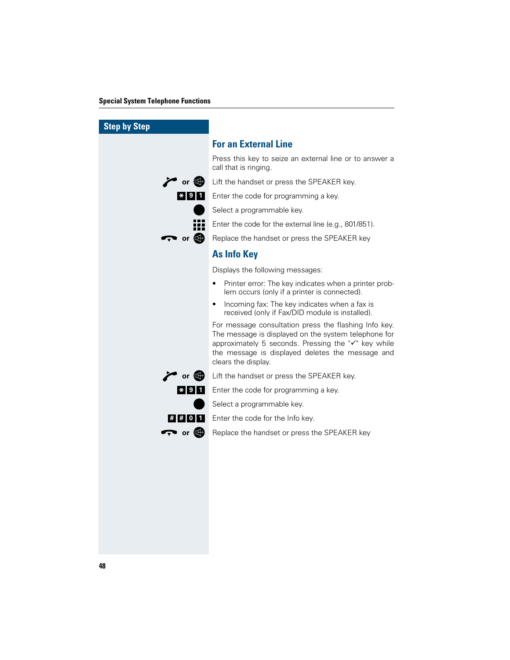#### **Special System Telephone Functions**

| <b>Step by Step</b>                 |                                                                                                                                                                                                                                                 |
|-------------------------------------|-------------------------------------------------------------------------------------------------------------------------------------------------------------------------------------------------------------------------------------------------|
|                                     | <b>For an External Line</b>                                                                                                                                                                                                                     |
|                                     | Press this key to seize an external line or to answer a<br>call that is ringing.                                                                                                                                                                |
| $\sum$ or $\mathbb{Q}$              | Lift the handset or press the SPEAKER key.                                                                                                                                                                                                      |
| $*$  9 1                            | Enter the code for programming a key.                                                                                                                                                                                                           |
|                                     | Select a programmable key.                                                                                                                                                                                                                      |
| 88                                  | Enter the code for the external line (e.g., 801/851).                                                                                                                                                                                           |
| $\rightarrow$ or $\bullet$          | Replace the handset or press the SPEAKER key                                                                                                                                                                                                    |
|                                     | <b>As Info Key</b>                                                                                                                                                                                                                              |
|                                     | Displays the following messages:                                                                                                                                                                                                                |
|                                     | Printer error: The key indicates when a printer prob-<br>lem occurs (only if a printer is connected).                                                                                                                                           |
|                                     | Incoming fax: The key indicates when a fax is<br>$\bullet$<br>received (only if Fax/DID module is installed).                                                                                                                                   |
|                                     | For message consultation press the flashing Info key.<br>The message is displayed on the system telephone for<br>approximately 5 seconds. Pressing the "√" key while<br>the message is displayed deletes the message and<br>clears the display. |
| $\curvearrowright$ or $\circledast$ | Lift the handset or press the SPEAKER key.                                                                                                                                                                                                      |
| $\mathbf{*}$ 9 1                    | Enter the code for programming a key.                                                                                                                                                                                                           |
|                                     | Select a programmable key.                                                                                                                                                                                                                      |
| $\#$  # 0 1                         | Enter the code for the Info key.                                                                                                                                                                                                                |
| $\rightarrow$ or $\bullet$          | Replace the handset or press the SPEAKER key                                                                                                                                                                                                    |
|                                     |                                                                                                                                                                                                                                                 |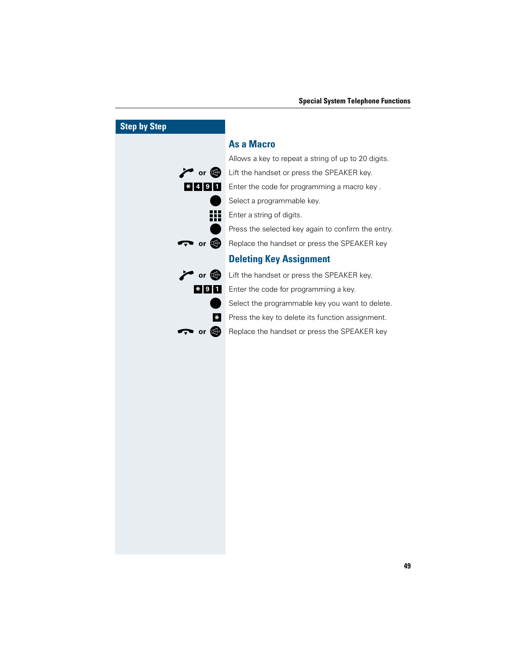|                       | or $\mathbb{C}$   |
|-----------------------|-------------------|
| $\frac{*}{4}$   9   1 |                   |
|                       |                   |
|                       |                   |
|                       |                   |
| or L                  |                   |
|                       |                   |
|                       | or $\blacksquare$ |
| $* 9 1$               |                   |
|                       |                   |
|                       | ţ                 |
| $\mathbf{o}$          | $\mathbb{Q}$      |

# Allows a key to repeat a string of up to 20 digits. Lift the handset or press the SPEAKER key.

**As a Macro**

Enter the code for programming a macro key . Select a programmable key. Enter a string of digits. Press the selected key again to confirm the entry. Replace the handset or press the SPEAKER key **Deleting Key Assignment**

# **Lift the handset or press the SPEAKER key.**

Enter the code for programming a key.

Select the programmable key you want to delete.

Press the key to delete its function assignment.

**P** Replace the handset or press the SPEAKER key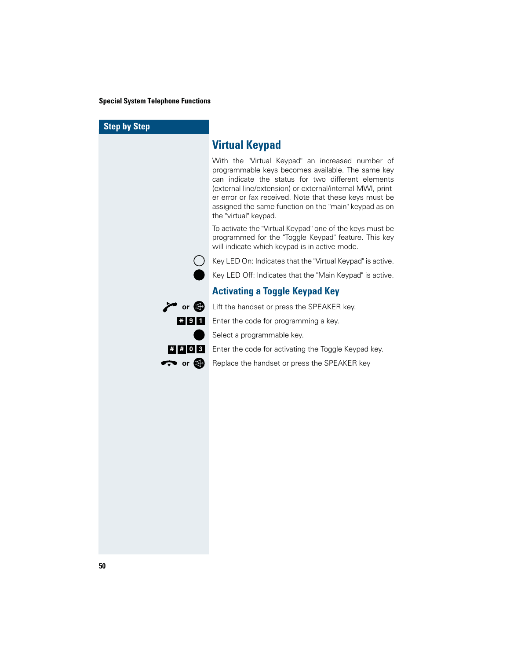#### **Special System Telephone Functions**

| <b>Step by Step</b>                                                                                                                                                                                                                                                                                                 |                                                                                                                                                                                                                                                                                                                                                                       |
|---------------------------------------------------------------------------------------------------------------------------------------------------------------------------------------------------------------------------------------------------------------------------------------------------------------------|-----------------------------------------------------------------------------------------------------------------------------------------------------------------------------------------------------------------------------------------------------------------------------------------------------------------------------------------------------------------------|
|                                                                                                                                                                                                                                                                                                                     | <b>Virtual Keypad</b>                                                                                                                                                                                                                                                                                                                                                 |
|                                                                                                                                                                                                                                                                                                                     | With the "Virtual Keypad" an increased number of<br>programmable keys becomes available. The same key<br>can indicate the status for two different elements<br>(external line/extension) or external/internal MWI, print-<br>er error or fax received. Note that these keys must be<br>assigned the same function on the "main" keypad as on<br>the "virtual" keypad. |
|                                                                                                                                                                                                                                                                                                                     | To activate the "Virtual Keypad" one of the keys must be<br>programmed for the "Toggle Keypad" feature. This key<br>will indicate which keypad is in active mode.                                                                                                                                                                                                     |
|                                                                                                                                                                                                                                                                                                                     | Key LED On: Indicates that the "Virtual Keypad" is active.                                                                                                                                                                                                                                                                                                            |
|                                                                                                                                                                                                                                                                                                                     | Key LED Off: Indicates that the "Main Keypad" is active.                                                                                                                                                                                                                                                                                                              |
|                                                                                                                                                                                                                                                                                                                     | <b>Activating a Toggle Keypad Key</b>                                                                                                                                                                                                                                                                                                                                 |
| $\sim$ or $\bullet$                                                                                                                                                                                                                                                                                                 | Lift the handset or press the SPEAKER key.                                                                                                                                                                                                                                                                                                                            |
| $* 9 $<br>$\mathbf{1}$                                                                                                                                                                                                                                                                                              | Enter the code for programming a key.                                                                                                                                                                                                                                                                                                                                 |
|                                                                                                                                                                                                                                                                                                                     | Select a programmable key.                                                                                                                                                                                                                                                                                                                                            |
| $\frac{1}{2}$ $\frac{1}{2}$ $\frac{1}{2}$ $\frac{1}{2}$ $\frac{1}{2}$ $\frac{1}{2}$ $\frac{1}{2}$ $\frac{1}{2}$ $\frac{1}{2}$ $\frac{1}{2}$ $\frac{1}{2}$ $\frac{1}{2}$ $\frac{1}{2}$ $\frac{1}{2}$ $\frac{1}{2}$ $\frac{1}{2}$ $\frac{1}{2}$ $\frac{1}{2}$ $\frac{1}{2}$ $\frac{1}{2}$ $\frac{1}{2}$ $\frac{1}{2}$ | Enter the code for activating the Toggle Keypad key.                                                                                                                                                                                                                                                                                                                  |
| $\rightarrow$ or $\bullet$                                                                                                                                                                                                                                                                                          | Replace the handset or press the SPEAKER key                                                                                                                                                                                                                                                                                                                          |
|                                                                                                                                                                                                                                                                                                                     |                                                                                                                                                                                                                                                                                                                                                                       |
|                                                                                                                                                                                                                                                                                                                     |                                                                                                                                                                                                                                                                                                                                                                       |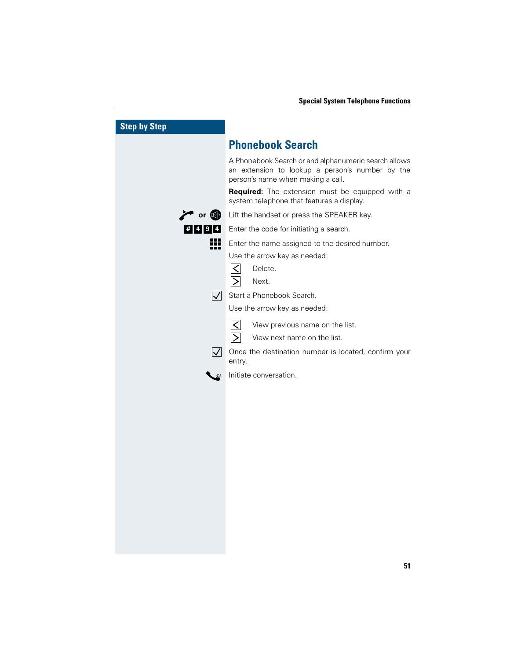| <b>Step by Step</b> |                                                                                                                                              |
|---------------------|----------------------------------------------------------------------------------------------------------------------------------------------|
|                     | <b>Phonebook Search</b>                                                                                                                      |
|                     | A Phonebook Search or and alphanumeric search allows<br>an extension to lookup a person's number by the<br>person's name when making a call. |
|                     | Required: The extension must be equipped with a<br>system telephone that features a display.                                                 |
| $\sim$ or $\bullet$ | Lift the handset or press the SPEAKER key.                                                                                                   |
| 4<br>#14191         | Enter the code for initiating a search.                                                                                                      |
| ₩                   | Enter the name assigned to the desired number.<br>Use the arrow key as needed:<br>$\lt$<br>Delete.<br>$\geq$<br>Next.                        |
| $ \nabla $          | Start a Phonebook Search.                                                                                                                    |
|                     | Use the arrow key as needed:                                                                                                                 |
|                     | $\mathsf{K}$<br>View previous name on the list.<br>$\triangleright$<br>View next name on the list.                                           |
| $\mathsf{V}$        | Once the destination number is located, confirm your<br>entry.                                                                               |
|                     | Initiate conversation.                                                                                                                       |
|                     |                                                                                                                                              |
|                     |                                                                                                                                              |
|                     |                                                                                                                                              |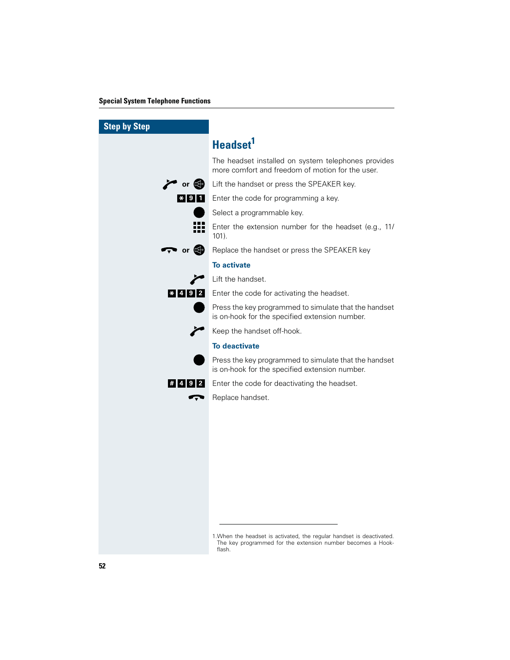#### **Special System Telephone Functions**

| <b>Step by Step</b>        |                                                                                                                                                |
|----------------------------|------------------------------------------------------------------------------------------------------------------------------------------------|
|                            | <b>Headset</b>                                                                                                                                 |
|                            | The headset installed on system telephones provides<br>more comfort and freedom of motion for the user.                                        |
|                            | or G Lift the handset or press the SPEAKER key.                                                                                                |
|                            | <b>*</b> 9 1 Enter the code for programming a key.                                                                                             |
|                            | Select a programmable key.                                                                                                                     |
| 333                        | Enter the extension number for the headset (e.g., 11/<br>$101$ ).                                                                              |
| $\rightarrow$ or $\bullet$ | Replace the handset or press the SPEAKER key                                                                                                   |
|                            | <b>To activate</b>                                                                                                                             |
|                            | Lift the handset.                                                                                                                              |
| $*$ 4 9 2                  | Enter the code for activating the headset.                                                                                                     |
|                            | Press the key programmed to simulate that the handset<br>is on-hook for the specified extension number.                                        |
|                            | Keep the handset off-hook.                                                                                                                     |
|                            | <b>To deactivate</b>                                                                                                                           |
|                            | Press the key programmed to simulate that the handset<br>is on-hook for the specified extension number.                                        |
| # 4 9 2                    | Enter the code for deactivating the headset.                                                                                                   |
|                            | Replace handset.                                                                                                                               |
|                            |                                                                                                                                                |
|                            |                                                                                                                                                |
|                            |                                                                                                                                                |
|                            |                                                                                                                                                |
|                            |                                                                                                                                                |
|                            |                                                                                                                                                |
|                            |                                                                                                                                                |
|                            |                                                                                                                                                |
|                            | 1. When the headset is activated, the regular handset is deactivated.<br>The key programmed for the extension number becomes a Hook-<br>flash. |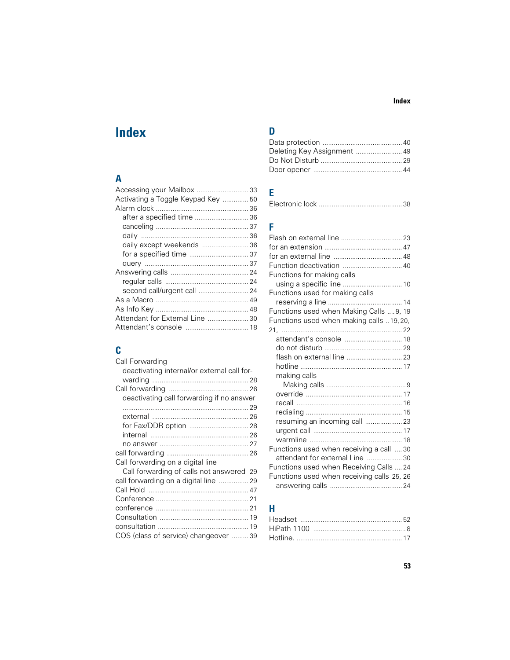## **A**

| Activating a Toggle Keypad Key 50 |  |
|-----------------------------------|--|
|                                   |  |
| after a specified time  36        |  |
|                                   |  |
|                                   |  |
| daily except weekends  36         |  |
|                                   |  |
|                                   |  |
|                                   |  |
|                                   |  |
| second call/urgent call  24       |  |
|                                   |  |
|                                   |  |
| Attendant for External Line 30    |  |
|                                   |  |
|                                   |  |

## **C**

| Call Forwarding                             |  |
|---------------------------------------------|--|
| deactivating internal/or external call for- |  |
|                                             |  |
|                                             |  |
| deactivating call forwarding if no answer   |  |
|                                             |  |
|                                             |  |
|                                             |  |
|                                             |  |
|                                             |  |
|                                             |  |
| Call forwarding on a digital line           |  |
| Call forwarding of calls not answered 29    |  |
| call forwarding on a digital line  29       |  |
|                                             |  |
|                                             |  |
|                                             |  |
|                                             |  |
|                                             |  |
| COS (class of service) changeover 39        |  |
|                                             |  |

## **D**

## **E**

|--|--|

## **F**

| Functions for making calls                 |  |
|--------------------------------------------|--|
|                                            |  |
| Functions used for making calls            |  |
|                                            |  |
| Functions used when Making Calls  9, 19    |  |
| Functions used when making calls  19, 20,  |  |
|                                            |  |
| attendant's console  18                    |  |
|                                            |  |
|                                            |  |
|                                            |  |
| making calls                               |  |
|                                            |  |
|                                            |  |
|                                            |  |
|                                            |  |
| resuming an incoming call  23              |  |
|                                            |  |
|                                            |  |
| Functions used when receiving a call 30    |  |
| attendant for external Line 30             |  |
| Functions used when Receiving Calls  24    |  |
| Functions used when receiving calls 25, 26 |  |
|                                            |  |

## **H**

### **Index**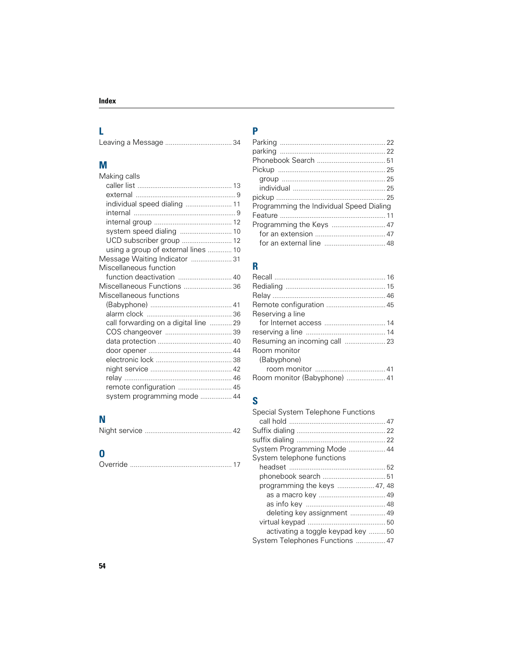## **L**

## **M**

| Making calls                          |  |
|---------------------------------------|--|
|                                       |  |
|                                       |  |
| individual speed dialing  11          |  |
|                                       |  |
|                                       |  |
| system speed dialing  10              |  |
| UCD subscriber group  12              |  |
| using a group of external lines  10   |  |
| Message Waiting Indicator  31         |  |
| Miscellaneous function                |  |
| function deactivation  40             |  |
| Miscellaneous Functions  36           |  |
| Miscellaneous functions               |  |
|                                       |  |
|                                       |  |
| call forwarding on a digital line  29 |  |
|                                       |  |
|                                       |  |
|                                       |  |
|                                       |  |
|                                       |  |
|                                       |  |
| remote configuration  45              |  |
| system programming mode  44           |  |

## **N**

## **O**

|--|--|

## **P**

| Programming the Individual Speed Dialing |  |
|------------------------------------------|--|
|                                          |  |
| Programming the Keys  47                 |  |
|                                          |  |
|                                          |  |

## **R**

| Remote configuration  45      |  |
|-------------------------------|--|
| Reserving a line              |  |
|                               |  |
|                               |  |
| Resuming an incoming call  23 |  |
| Room monitor                  |  |
| (Babyphone)                   |  |
|                               |  |
|                               |  |

## **S**

| Special System Telephone Functions |  |
|------------------------------------|--|
|                                    |  |
|                                    |  |
|                                    |  |
| System Programming Mode  44        |  |
| System telephone functions         |  |
|                                    |  |
|                                    |  |
| programming the keys  47, 48       |  |
|                                    |  |
|                                    |  |
| deleting key assignment  49        |  |
|                                    |  |
| activating a toggle keypad key 50  |  |
| System Telephones Functions  47    |  |
|                                    |  |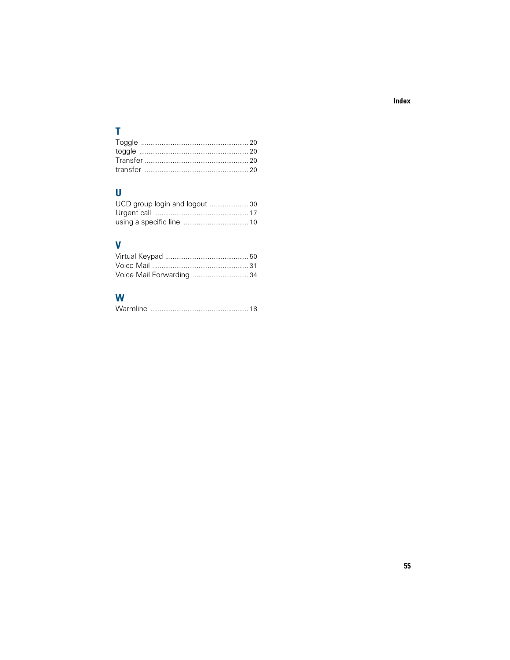## $\bar{\mathbf{T}}$

## $\overline{\mathsf{U}}$

| UCD group login and logout 30 |  |
|-------------------------------|--|
|                               |  |
|                               |  |

## $\mathbf V$

| Voice Mail Forwarding 34 |  |
|--------------------------|--|

## W

|--|--|--|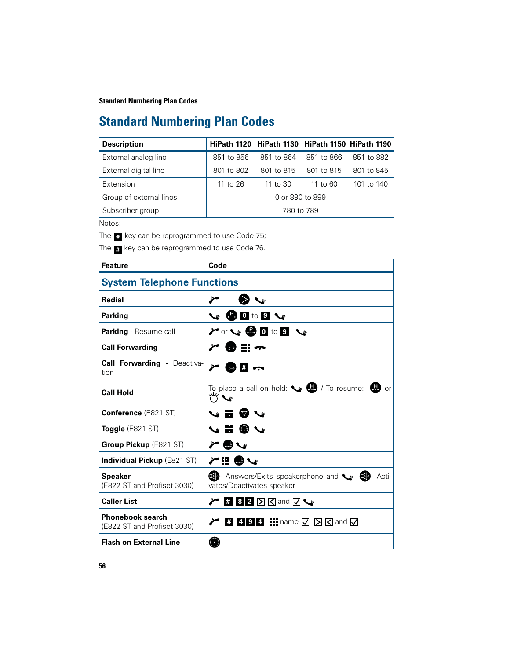| <b>Description</b>      |                 | HiPath 1120   HiPath 1130   HiPath 1150   HiPath 1190 |            |            |
|-------------------------|-----------------|-------------------------------------------------------|------------|------------|
| External analog line    | 851 to 856      | 851 to 864                                            | 851 to 866 | 851 to 882 |
| External digital line   | 801 to 802      | 801 to 815                                            | 801 to 815 | 801 to 845 |
| Extension               | 11 to 26        | 11 to 30                                              | 11 to $60$ | 101 to 140 |
| Group of external lines | 0 or 890 to 899 |                                                       |            |            |
| Subscriber group        | 780 to 789      |                                                       |            |            |

Notes:

The  $\cdot$  key can be reprogrammed to use Code 75;

The  $_{\textbf{\textit{#}}}$  key can be reprogrammed to use Code 76.

| <b>Feature</b>                                         | Code                                                                       |  |  |
|--------------------------------------------------------|----------------------------------------------------------------------------|--|--|
| <b>System Telephone Functions</b>                      |                                                                            |  |  |
| <b>Redial</b>                                          | ∕                                                                          |  |  |
| <b>Parking</b>                                         | $\mathcal{C}$ 0 to 9 $\mathcal{C}$                                         |  |  |
| Parking - Resume call                                  | $\lambda$ or $\sim$ 0 to 9 $\sim$                                          |  |  |
| <b>Call Forwarding</b>                                 | ∽ ⊪ (                                                                      |  |  |
| Call Forwarding - Deactiva-<br>tion                    | $\rightarrow$ # $\rightarrow$                                              |  |  |
| <b>Call Hold</b>                                       | To place a call on hold: $\bullet$ <b>B</b> / To resume: <b>B</b> or       |  |  |
| Conference (E821 ST)                                   | ₩ ₩<br>$\triangledown$                                                     |  |  |
| <b>Toggle</b> (E821 ST)                                | V ‼ ❸                                                                      |  |  |
| <b>Group Pickup (E821 ST)</b>                          |                                                                            |  |  |
| Individual Pickup (E821 ST)                            | /     ●ヽ                                                                   |  |  |
| <b>Speaker</b><br>(E822 ST and Profiset 3030)          | Answers/Exits speakerphone and Super LG Acti-<br>vates/Deactivates speaker |  |  |
| <b>Caller List</b>                                     | $\angle$ # 8 2 $\boxtimes$ and $\boxtimes$ $\sim$                          |  |  |
| <b>Phonebook search</b><br>(E822 ST and Profiset 3030) | $\triangleright$ # 4 9 4 H name $\Box$ $\Box$ $\Box$ and $\Box$            |  |  |
| <b>Flash on External Line</b>                          |                                                                            |  |  |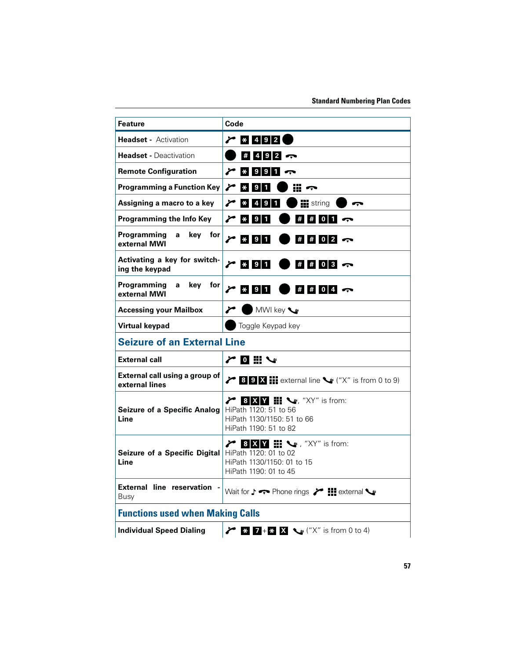| <b>Feature</b>                                   | Code                                                                                                                                      |
|--------------------------------------------------|-------------------------------------------------------------------------------------------------------------------------------------------|
| <b>Headset - Activation</b>                      | $2$ $*$ 492                                                                                                                               |
| <b>Headset - Deactivation</b>                    | $\#$ 4 9 2 $\circ$                                                                                                                        |
| <b>Remote Configuration</b>                      | $\sim$ * 9 9 1 $\sim$                                                                                                                     |
| <b>Programming a Function Key</b>                | $\mathbb{R}$ $\sim$<br>$\geq$ $\frac{1}{2}$<br>1                                                                                          |
| Assigning a macro to a key                       | $2 * 4 9$<br><b>IN</b> string<br>$\mathbf{1}$                                                                                             |
| Programming the Info Key                         | $\geq$ * 91<br>$\#$ $\#$ 0 1 $\infty$                                                                                                     |
| Programming<br>key<br>for<br>a<br>external MWI   | $\geq$ * 91<br>$\#$ $\#$ 0 2 $\sim$                                                                                                       |
| Activating a key for switch-<br>ing the keypad   | $\geq$ * 91<br>$\#$ $\#$ 0 3 $\infty$                                                                                                     |
| Programming<br>key<br>for<br>a<br>external MWI   | $\frac{1}{2}$ $\frac{1}{2}$ $\frac{1}{2}$ $\frac{1}{2}$ $\frac{1}{2}$<br>$\#$ $\#$ 0 4 $\infty$                                           |
| <b>Accessing your Mailbox</b>                    | MWI key<br>r                                                                                                                              |
| <b>Virtual keypad</b>                            | Toggle Keypad key                                                                                                                         |
| <b>Seizure of an External Line</b>               |                                                                                                                                           |
| <b>External call</b>                             | アロミン                                                                                                                                      |
| External call using a group of<br>external lines | $\angle$ <b>8 9 X ::</b> external line $\leq$ ("X" is from 0 to 9)                                                                        |
| Seizure of a Specific Analog<br>Line             | 8 X V <b>III</b> W, "XY" is from:<br>∕<br>HiPath 1120: 51 to 56<br>HiPath 1130/1150: 51 to 66<br>HiPath 1190: 51 to 82                    |
| Seizure of a Specific Digital<br>Line            | $\angle$ 8 X Y $\mathbb{H}$ $\rightarrow$ , "XY" is from:<br>HiPath 1120: 01 to 02<br>HiPath 1130/1150: 01 to 15<br>HiPath 1190: 01 to 45 |
| External line reservation -<br>Busy              | Wait for $\downarrow \leftrightarrow$ Phone rings $\swarrow$ $\blacksquare$ external $\searrow$                                           |
| <b>Functions used when Making Calls</b>          |                                                                                                                                           |
| <b>Individual Speed Dialing</b>                  | <b>2</b> $\mathbb{Z}$ + $\mathbb{Z}$ $\mathbb{X}$ $\mathbb{Q}$ ("X" is from 0 to 4)                                                       |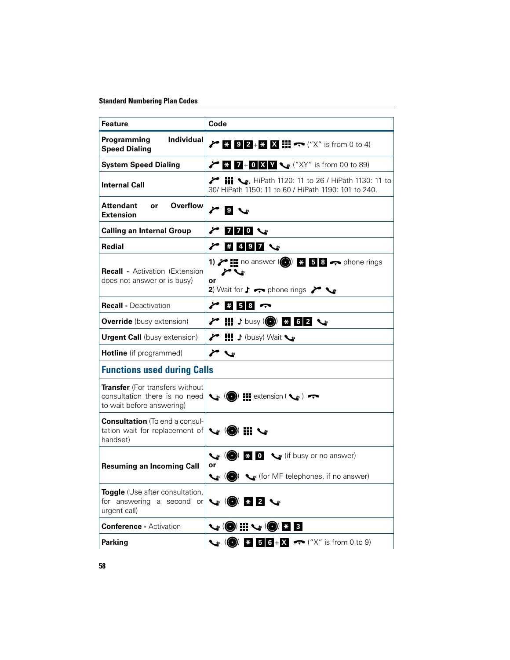| <b>Feature</b>                                                                                                                                                     | Code                                                                                                                                                                                                                                  |  |  |  |
|--------------------------------------------------------------------------------------------------------------------------------------------------------------------|---------------------------------------------------------------------------------------------------------------------------------------------------------------------------------------------------------------------------------------|--|--|--|
| Individual<br>Programming<br><b>Speed Dialing</b>                                                                                                                  | $\angle$ 3 9 2 + $\angle$ X iii $\leftrightarrow$ ("X" is from 0 to 4)                                                                                                                                                                |  |  |  |
| <b>System Speed Dialing</b>                                                                                                                                        | <b>7</b> $\bullet$ <b>7</b> $\bullet$ <b>0 X Y</b> $\bullet$ ("XY" is from 00 to 89)                                                                                                                                                  |  |  |  |
| <b>Internal Call</b>                                                                                                                                               | <b>7</b> $\blacksquare$ , HiPath 1120: 11 to 26 / HiPath 1130: 11 to<br>30/ HiPath 1150: 11 to 60 / HiPath 1190: 101 to 240.                                                                                                          |  |  |  |
| <b>Overflow</b><br>Attendant<br>or<br><b>Extension</b>                                                                                                             | $\sim$ 9 $\sim$                                                                                                                                                                                                                       |  |  |  |
| <b>Calling an Internal Group</b>                                                                                                                                   | $\chi$ 770 $\sim$                                                                                                                                                                                                                     |  |  |  |
| Redial                                                                                                                                                             | $\sim$ # 4 9 7 $\sim$                                                                                                                                                                                                                 |  |  |  |
| <b>Recall - Activation (Extension</b><br>does not answer or is busy)                                                                                               | 1) $\triangleright$ <b>:</b> no answer ( $\odot$ ) $\cdot$ 5 <b>6</b> $\cdot\cdot$ phone rings<br>$\blacktriangleright$ $\blacktriangleright$<br>or<br>2) Wait for $\mathbf{J}$ $\rightarrow$ phone rings $\rightarrow$ $\rightarrow$ |  |  |  |
| <b>Recall - Deactivation</b>                                                                                                                                       | $\sim$ # 5 8 $\sim$                                                                                                                                                                                                                   |  |  |  |
| <b>Override</b> (busy extension)                                                                                                                                   | <del></del> 7 II J busy (● 8 8 8 2 ↓                                                                                                                                                                                                  |  |  |  |
| <b>Urgent Call</b> (busy extension)                                                                                                                                | → 間 ♪ (busy) Wait ◆                                                                                                                                                                                                                   |  |  |  |
| Hotline (if programmed)                                                                                                                                            | r                                                                                                                                                                                                                                     |  |  |  |
| <b>Functions used during Calls</b>                                                                                                                                 |                                                                                                                                                                                                                                       |  |  |  |
| <b>Transfer</b> (For transfers without<br>consultation there is no need<br>to wait before answering)                                                               | $\left\langle \mathbf{e} \right\rangle$ (O) $\mathbf{H}$ extension ( $\left\langle \mathbf{e} \right\rangle$ )                                                                                                                        |  |  |  |
| <b>Consultation</b> (To end a consul-<br>tation wait for replacement of<br>handset)                                                                                | $\mathcal{L} \circledast \mathcal{L}$                                                                                                                                                                                                 |  |  |  |
|                                                                                                                                                                    | $\left\langle \bullet \right\rangle$ (a) $\left\langle \bullet \right\rangle$ answer)                                                                                                                                                 |  |  |  |
| <b>Resuming an Incoming Call</b>                                                                                                                                   | or<br>(for MF telephones, if no answer) ہے ((@)                                                                                                                                                                                       |  |  |  |
| Toggle (Use after consultation,<br>for answering a second or $\left \bigcup_{\mathcal{B}}\left(\bigcirc\right)\right $ $\mathbb{Z}$ 2 $\mathbb{Z}$<br>urgent call) |                                                                                                                                                                                                                                       |  |  |  |
| <b>Conference - Activation</b>                                                                                                                                     | V (0) II V (0) B 8                                                                                                                                                                                                                    |  |  |  |
| <b>Parking</b>                                                                                                                                                     | $\mathcal{C}$ (O) $\mathbb{R}$ 56+X $\curvearrowleft$ ("X" is from 0 to 9)                                                                                                                                                            |  |  |  |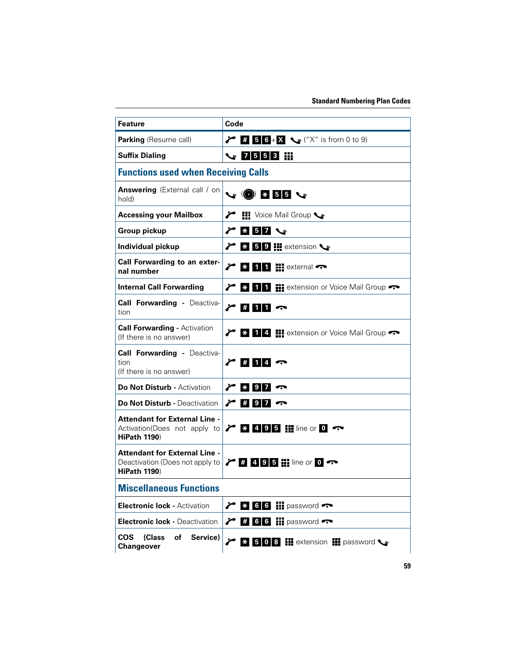| <b>Feature</b>                                                                              | Code                                                                               |  |
|---------------------------------------------------------------------------------------------|------------------------------------------------------------------------------------|--|
| Parking (Resume call)                                                                       | <b>7 5 6</b> + <b>X \s</b> ("X" is from 0 to 9)                                    |  |
| <b>Suffix Dialing</b>                                                                       | $\frac{1}{2}$ 7 5 5 3 $\frac{11}{111}$                                             |  |
| <b>Functions used when Receiving Calls</b>                                                  |                                                                                    |  |
| <b>Answering</b> (External call / on<br>hold)                                               | $\vee$ 0 $\cdot$ 55 $\cdot$                                                        |  |
| <b>Accessing your Mailbox</b>                                                               | 1 Voice Mail Group ↓                                                               |  |
| <b>Group pickup</b>                                                                         | $* 57$<br>P                                                                        |  |
| Individual pickup                                                                           | $\angle$ $\cdot$ 5 9 H extension $\cdot$                                           |  |
| Call Forwarding to an exter-<br>nal number                                                  | $\angle$ * 11 $\angle$ = external $\triangle$                                      |  |
| <b>Internal Call Forwarding</b>                                                             | 1 1 <b>1 Extension or Voice Mail Group</b><br>$\epsilon$ $\ast$ $\vdash$           |  |
| <b>Call Forwarding - Deactiva-</b><br>tion                                                  | $\gamma$ # 11 $\gamma$                                                             |  |
| <b>Call Forwarding - Activation</b><br>(If there is no answer)                              | → 8 1 4 H extension or Voice Mail Group                                            |  |
| <b>Call Forwarding - Deactiva-</b><br>tion<br>(If there is no answer)                       | $\sim$ # 14 $\sim$                                                                 |  |
| <b>Do Not Disturb - Activation</b>                                                          | $\sim$ * 97                                                                        |  |
| <b>Do Not Disturb - Deactivation</b>                                                        | $\sim$ # 9 7 $\sim$                                                                |  |
| <b>Attendant for External Line -</b><br>Activation(Does not apply to<br><b>HiPath 1190)</b> | $\angle$ $\approx$ 495 $\pm$ line or 0 $\sim$                                      |  |
| <b>Attendant for External Line -</b><br><b>HiPath 1190)</b>                                 | Deactivation (Does not apply to $\triangleright$ # 495 : ine or 0 $\triangleright$ |  |
| <b>Miscellaneous Functions</b>                                                              |                                                                                    |  |
| <b>Electronic lock - Activation</b>                                                         | 6 6 $\frac{1}{2}$ password                                                         |  |
| <b>Electronic lock - Deactivation</b>                                                       | $\#$ 6 6 $\#$ password<br>$\mathcal{E}$                                            |  |
| <b>COS</b><br>(Class<br>οf<br>Service)<br>Changeover                                        | * 508 Nextension Dessword<br>∕                                                     |  |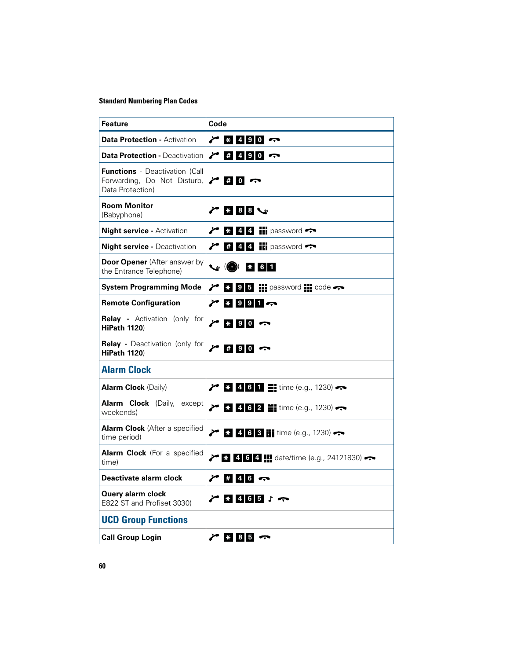| <b>Feature</b>                                                                           | Code                                                                             |
|------------------------------------------------------------------------------------------|----------------------------------------------------------------------------------|
| <b>Data Protection - Activation</b>                                                      | $\sim$ * 4 9 0 $\sim$                                                            |
| <b>Data Protection - Deactivation</b>                                                    | $\sim$ # 4 9 0 $\sim$                                                            |
| <b>Functions</b> - Deactivation (Call<br>Forwarding, Do Not Disturb,<br>Data Protection) | $\sim$ # 0 $\sim$                                                                |
| <b>Room Monitor</b><br>(Babyphone)                                                       | $\sim$ 888 $\sim$                                                                |
| <b>Night service - Activation</b>                                                        | $\angle$ * 44 H password                                                         |
| <b>Night service - Deactivation</b>                                                      | $\angle$ # 4 4 $\frac{11}{11}$ password                                          |
| <b>Door Opener</b> (After answer by<br>the Entrance Telephone)                           | $\mathcal{C}$ (O) $\approx$ 61                                                   |
| <b>System Programming Mode</b>                                                           | $\sim$ $\frac{1}{3}$ 9 5 $\frac{1}{2}$ password $\frac{1}{3}$ code $\rightarrow$ |
| <b>Remote Configuration</b>                                                              | $7 * 9 9 1 \n$                                                                   |
| <b>Relay -</b> Activation (only for<br><b>HiPath 1120)</b>                               | $\sim$ * 90 $\sim$                                                               |
| <b>Relay</b> - Deactivation (only for<br><b>HiPath 1120)</b>                             | $\sim$ # 90 $\sim$                                                               |
| <b>Alarm Clock</b>                                                                       |                                                                                  |
| <b>Alarm Clock</b> (Daily)                                                               | $\frac{1}{2}$ $\frac{1}{2}$ 4 6 1 <b>H</b> time (e.g., 1230)                     |
| <b>Alarm Clock</b> (Daily, except<br>weekends)                                           | $\angle$ * 4 6 2 H time (e.g., 1230)                                             |
| <b>Alarm Clock</b> (After a specified<br>time period)                                    | $\frac{1}{2}$ $\frac{1}{8}$ 4 6 3 $\frac{1}{11}$ time (e.g., 1230)               |
| <b>Alarm Clock</b> (For a specified<br>time)                                             | $\frac{1}{2}$ $\frac{1}{8}$ 4 6 4 $\frac{1}{11}$ date/time (e.g., 24121830)      |
| Deactivate alarm clock                                                                   | 246                                                                              |
| Query alarm clock<br>E822 ST and Profiset 3030)                                          | $7 * 465 : \rightarrow$                                                          |
| <b>UCD Group Functions</b>                                                               |                                                                                  |
| <b>Call Group Login</b>                                                                  | $\mathcal{F}$ * 85                                                               |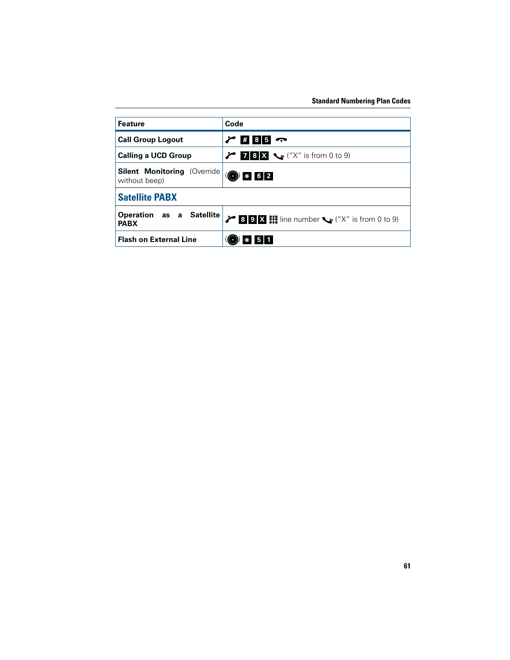| <b>Feature</b>                                       | Code                                                                   |  |
|------------------------------------------------------|------------------------------------------------------------------------|--|
| <b>Call Group Logout</b>                             | $\mathcal{L}$<br>$\#$ 85 $\sim$                                        |  |
| <b>Calling a UCD Group</b>                           | $78X$ $\sqrt{x}$ is from 0 to 9)                                       |  |
| <b>Silent Monitoring (Override)</b><br>without beep) | $\odot$ * 62                                                           |  |
| <b>Satellite PABX</b>                                |                                                                        |  |
| Operation as a Satellite<br><b>PABX</b>              | $\angle$ 3 9 X $\parallel$ line number $\searrow$ ("X" is from 0 to 9) |  |
| <b>Flash on External Line</b>                        | 51<br>$\ast$                                                           |  |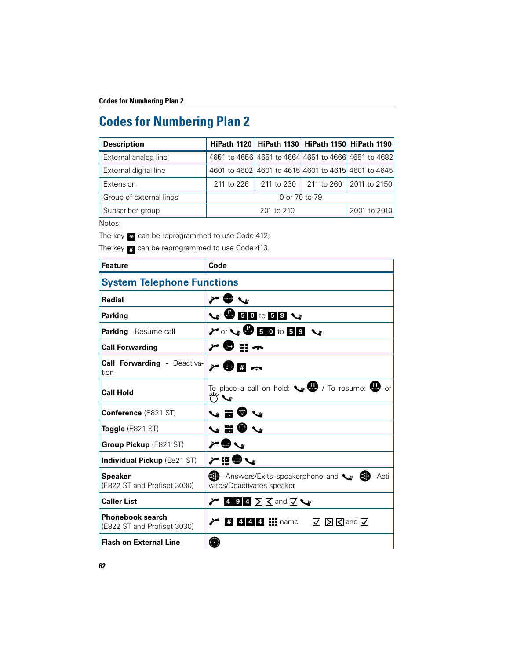| <b>Description</b>      |                                                     |            | HiPath 1120   HiPath 1130   HiPath 1150   HiPath 1190 |
|-------------------------|-----------------------------------------------------|------------|-------------------------------------------------------|
| External analog line    | 4651 to 4656 4651 to 4664 4651 to 4666 4651 to 4682 |            |                                                       |
| External digital line   | 4601 to 4602 4601 to 4615 4601 to 4615 4601 to 4645 |            |                                                       |
| Extension               | 211 to 226                                          |            | 211 to 230 211 to 260 2011 to 2150                    |
| Group of external lines | 0 or 70 to 79                                       |            |                                                       |
| Subscriber group        |                                                     | 201 to 210 | 2001 to 2010                                          |

Notes:

The key <mark> $\ast$ </mark> can be reprogrammed to use Code 412;

The key **a** can be reprogrammed to use Code 413.

| <b>Feature</b>                                         | Code                                                                              |  |  |
|--------------------------------------------------------|-----------------------------------------------------------------------------------|--|--|
| <b>System Telephone Functions</b>                      |                                                                                   |  |  |
| <b>Redial</b>                                          | $\sim$ 0 $\sim$                                                                   |  |  |
| <b>Parking</b>                                         | $\vee$ 80 to 50 $\vee$                                                            |  |  |
| <b>Parking</b> - Resume call                           | $\gamma$ or $\sqrt{950}$ to 58 $\sqrt{9}$                                         |  |  |
| <b>Call Forwarding</b>                                 | r ● ::: ~                                                                         |  |  |
| <b>Call Forwarding - Deactiva-</b><br>tion             | r 9 ∏ ←                                                                           |  |  |
| <b>Call Hold</b>                                       | To place a call on hold: $\bullet$ <b>W</b> / To resume: $\bullet$ or             |  |  |
| <b>Conference (E821 ST)</b>                            | いいいい                                                                              |  |  |
| <b>Toggle</b> (E821 ST)                                | V ‼l ♥                                                                            |  |  |
| Group Pickup (E821 ST)                                 |                                                                                   |  |  |
| <b>Individual Pickup (E821 ST)</b>                     | ノ間のパ                                                                              |  |  |
| <b>Speaker</b><br>(E822 ST and Profiset 3030)          | Answers/Exits speakerphone and supplemental Acti-<br>vates/Deactivates speaker    |  |  |
| <b>Caller List</b>                                     | $\blacktriangleright$ 494 $\triangleright$ and $\triangleright$ $\triangleright$  |  |  |
| <b>Phonebook search</b><br>(E822 ST and Profiset 3030) | $\frac{4}{4}$ 4 4 4 $\frac{1}{4}$ name<br>$\boxtimes$ $\boxtimes$ and $\boxtimes$ |  |  |
| <b>Flash on External Line</b>                          |                                                                                   |  |  |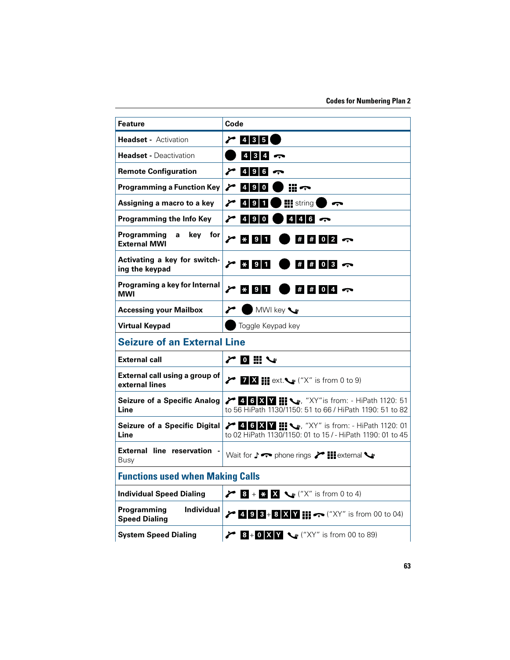| <b>Feature</b>                                           | Code                                                                                                        |
|----------------------------------------------------------|-------------------------------------------------------------------------------------------------------------|
| <b>Headset - Activation</b>                              | $\sim$ 435                                                                                                  |
| <b>Headset - Deactivation</b>                            | 4347                                                                                                        |
| <b>Remote Configuration</b>                              | $4$ 9 6 $\sim$                                                                                              |
| <b>Programming a Function Key</b>                        | ∕<br>$490$                                                                                                  |
| Assigning a macro to a key                               | $\sim$ 491<br><b>iii</b> string<br>ى ا                                                                      |
| Programming the Info Key                                 | $4$ 4 6 $\sim$                                                                                              |
| Programming<br>key for<br>a<br><b>External MWI</b>       | $\geq$ * 91<br>$\#$ $\#$ 0 2 $\infty$                                                                       |
| Activating a key for switch-<br>ing the keypad           | $\geq$ * 91<br>$\#$ $\#$ 0 3 $\sim$                                                                         |
| Programing a key for Internal<br>MWI                     | $\geq$ $\frac{1}{2}$ 9<br>$\#$ $\#$ 0 4 $\infty$<br>1                                                       |
| <b>Accessing your Mailbox</b>                            | MWI key<br>r                                                                                                |
| <b>Virtual Keypad</b>                                    | Toggle Keypad key                                                                                           |
| <b>Seizure of an External Line</b>                       |                                                                                                             |
| <b>External call</b>                                     | アロミン                                                                                                        |
| External call using a group of<br>external lines         | $\angle$ 7 $\angle$ 11 ext. $\angle$ ("X" is from 0 to 9)                                                   |
| <b>Seizure of a Specific Analog</b><br>Line              | 7 4 6 X 1 1 \, "XY"is from: - HiPath 1120: 51<br>to 56 HiPath 1130/1150: 51 to 66 / HiPath 1190: 51 to 82   |
| Seizure of a Specific Digital<br>Line                    | → 46 X Y III < XY" is from: - HiPath 1120: 01<br>to 02 HiPath 1130/1150: 01 to 15 / - HiPath 1190: 01 to 45 |
| External line reservation -<br>Busy                      | Wait for $\downarrow \leftrightarrow$ phone rings $\searrow$ $\blacksquare$ external $\searrow$             |
| <b>Functions used when Making Calls</b>                  |                                                                                                             |
| <b>Individual Speed Dialing</b>                          | $\angle$ 8 + * X $\cup$ ("X" is from 0 to 4)                                                                |
| Programming<br><b>Individual</b><br><b>Speed Dialing</b> | $\angle$ 498+8 X V $\parallel \rightarrow$ ("XY" is from 00 to 04)                                          |
| <b>System Speed Dialing</b>                              | <b>8</b> + 0 X Y $\le$ ("XY" is from 00 to 89)                                                              |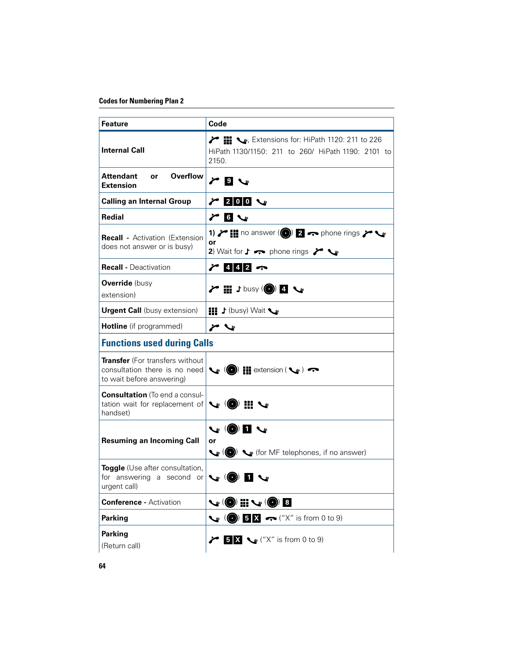| <b>Feature</b>                                                                                       | Code                                                                                                                                                              |
|------------------------------------------------------------------------------------------------------|-------------------------------------------------------------------------------------------------------------------------------------------------------------------|
| <b>Internal Call</b>                                                                                 | $\blacktriangleright$ $\blacksquare$ , Extensions for: HiPath 1120: 211 to 226<br>HiPath 1130/1150: 211 to 260/ HiPath 1190: 2101 to<br>2150.                     |
| <b>Overflow</b><br><b>Attendant</b><br><b>or</b><br><b>Extension</b>                                 | $\sim$ 0 $\sim$                                                                                                                                                   |
| <b>Calling an Internal Group</b>                                                                     |                                                                                                                                                                   |
| Redial                                                                                               | $\sim$ 6 $\sim$                                                                                                                                                   |
| <b>Recall -</b> Activation (Extension)<br>does not answer or is busy)                                | 1) $\triangleright$ 11 no answer (0) 2 $\rightarrow$ phone rings $\triangleright$<br>or<br>2) Wait for $\uparrow \leftrightarrow$ phone rings $\swarrow \searrow$ |
| <b>Recall - Deactivation</b>                                                                         | $7412 -$                                                                                                                                                          |
| <b>Override</b> (busy<br>extension)                                                                  | プ 〓 ♪busy (◎) 4 〜                                                                                                                                                 |
| <b>Urgent Call</b> (busy extension)                                                                  | <b>HI</b> J (busy) Wait                                                                                                                                           |
| Hotline (if programmed)                                                                              |                                                                                                                                                                   |
| <b>Functions used during Calls</b>                                                                   |                                                                                                                                                                   |
| <b>Transfer</b> (For transfers without<br>consultation there is no need<br>to wait before answering) | $\mathcal{L}_{\mathcal{E}}$ ( $\bigcirc$ ) $\mathbf{H}$ extension ( $\mathcal{L}_{\mathcal{E}}$ ) $\rightarrow$                                                   |
| <b>Consultation</b> (To end a consul-<br>tation wait for replacement of<br>handset)                  | $\mathcal{L} \circledast$ iii $\mathcal{L}$                                                                                                                       |
| <b>Resuming an Incoming Call</b>                                                                     | $\mathbf{v}$ (0) 1 $\mathbf{v}$<br>or<br>$\left(\bigcirc\right)$ $\left(\bullet\right)$ (for MF telephones, if no answer)                                         |
| <b>Toggle</b> (Use after consultation,<br>for answering a second or<br>urgent call)                  | $\mathbf{C}$ (O)                                                                                                                                                  |
| <b>Conference - Activation</b>                                                                       | 4 (●) H v (●) 8                                                                                                                                                   |
| <b>Parking</b>                                                                                       | $\left(\bigodot\right)$ 5 X $\leftarrow$ ("X" is from 0 to 9)                                                                                                     |
| <b>Parking</b><br>(Return call)                                                                      | $\angle$ 5 X $\leq$ ("X" is from 0 to 9)                                                                                                                          |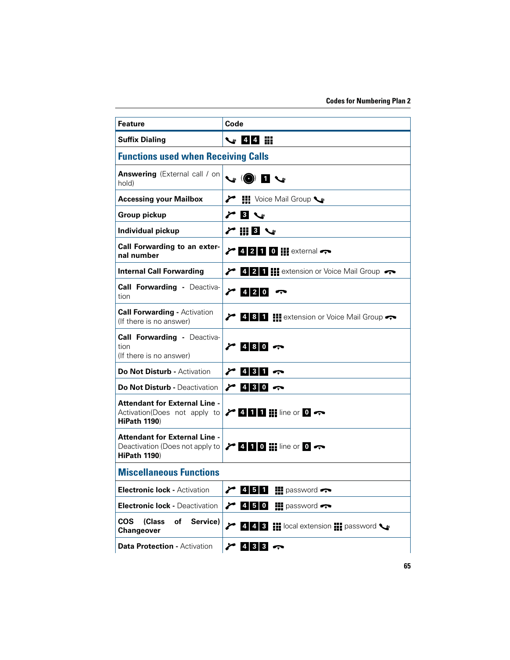| <b>Feature</b>                                                                                                                                                      | Code                                                                            |
|---------------------------------------------------------------------------------------------------------------------------------------------------------------------|---------------------------------------------------------------------------------|
| <b>Suffix Dialing</b>                                                                                                                                               |                                                                                 |
| <b>Functions used when Receiving Calls</b>                                                                                                                          |                                                                                 |
| <b>Answering</b> (External call / on<br>hold)                                                                                                                       | $\mathcal{L} \left( \mathbf{0} \right)$ is $\mathcal{L}$                        |
| <b>Accessing your Mailbox</b>                                                                                                                                       | 1 Voice Mail Group ↓                                                            |
| <b>Group pickup</b>                                                                                                                                                 | 3 <sup>°</sup><br>r                                                             |
| Individual pickup                                                                                                                                                   | $\sim$ 11 8 $\sim$                                                              |
| Call Forwarding to an exter-<br>nal number                                                                                                                          | $\angle$ 4210 $\pm$ external $\rightarrow$                                      |
| <b>Internal Call Forwarding</b>                                                                                                                                     | $\triangleright$ 4 2 1 H extension or Voice Mail Group                          |
| <b>Call Forwarding - Deactiva-</b><br>tion                                                                                                                          | $7420 -$                                                                        |
| <b>Call Forwarding - Activation</b><br>(If there is no answer)                                                                                                      | 4 8 1 El extension or Voice Mail Group                                          |
| <b>Call Forwarding - Deactiva-</b><br>tion<br>(If there is no answer)                                                                                               | $7480 -$                                                                        |
| <b>Do Not Disturb - Activation</b>                                                                                                                                  | $\sim$ 431 $\sim$                                                               |
| <b>Do Not Disturb - Deactivation</b>                                                                                                                                | $\sim$ 430 $\sim$                                                               |
| <b>Attendant for External Line -</b><br>Activation(Does not apply to $\triangleright$ 4 1 1 $\blacksquare$ line or 0 $\rightarrow$<br><b>HiPath 1190)</b>           |                                                                                 |
| <b>Attendant for External Line -</b><br>Deactivation (Does not apply to $\triangleright$ 4 1 0 $\cdot\cdot\cdot$ line or 0 $\cdot\cdot\cdot$<br><b>HiPath 1190)</b> |                                                                                 |
| <b>Miscellaneous Functions</b>                                                                                                                                      |                                                                                 |
| <b>Electronic lock - Activation</b>                                                                                                                                 | $4 \quad 5 \quad 1$<br>$\blacksquare$ password $\blacktriangleright$            |
| <b>Electronic lock - Deactivation</b>                                                                                                                               | $\blacksquare$ password $\blacktriangleright$                                   |
| <b>COS</b><br>(Class<br>of<br>Service)<br><b>Changeover</b>                                                                                                         | $\angle$ 4 4 3 $\equiv$ local extension $\equiv$ password $\blacktriangleright$ |
| <b>Data Protection - Activation</b>                                                                                                                                 | $2$ 433 $\sim$                                                                  |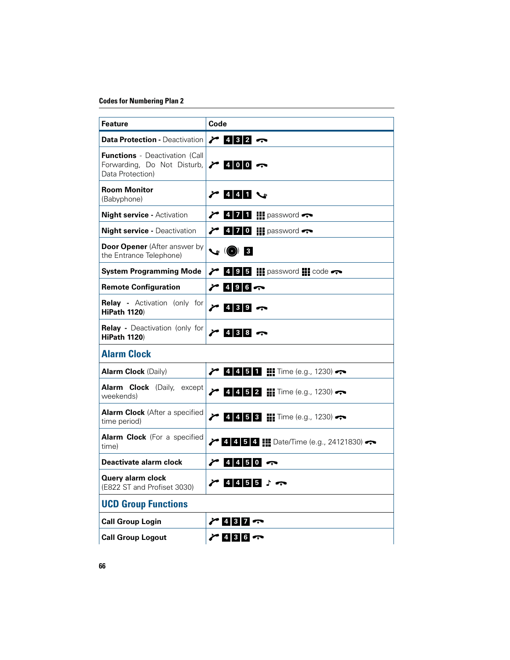| Feature                                                                                  | Code                                              |
|------------------------------------------------------------------------------------------|---------------------------------------------------|
| <b>Data Protection - Deactivation</b>                                                    | 74327                                             |
| <b>Functions</b> - Deactivation (Call<br>Forwarding, Do Not Disturb,<br>Data Protection) | $\sim$ 400 $\sim$                                 |
| <b>Room Monitor</b><br>(Babyphone)                                                       | $\sim$ 441 $\sim$                                 |
| <b>Night service - Activation</b>                                                        | $\sim$ 4 7 1 $\rm{iii}$ password $\sim$           |
| <b>Night service - Deactivation</b>                                                      | $\sim$ 4 7 0 H password $\sim$                    |
| <b>Door Opener</b> (After answer by<br>the Entrance Telephone)                           | $\mathcal{C}$ (O) B                               |
| <b>System Programming Mode</b>                                                           | $\angle$ 4 9 5 HI password III code $\rightarrow$ |
| <b>Remote Configuration</b>                                                              | 74967                                             |
| <b>Relay -</b> Activation (only for<br><b>HiPath 1120)</b>                               | 74397                                             |
| <b>Relay</b> - Deactivation (only for<br><b>HiPath 1120)</b>                             | 24387                                             |
| <b>Alarm Clock</b>                                                                       |                                                   |
| <b>Alarm Clock (Daily)</b>                                                               | $\angle$ 4 4 5 1 H Time (e.g., 1230)              |
| <b>Alarm Clock</b> (Daily, except<br>weekends)                                           | $\angle$ 4 4 5 2 $\parallel$ Time (e.g., 1230)    |
| <b>Alarm Clock</b> (After a specified<br>time period)                                    | $\angle$ 4 4 5 3 H Time (e.g., 1230)              |
| <b>Alarm Clock</b> (For a specified<br>time)                                             | <b>14 5 4 HI</b> Date/Time (e.g., 24121830)       |
| Deactivate alarm clock                                                                   | 74450                                             |
| Query alarm clock<br>(E822 ST and Profiset 3030)                                         | 744557                                            |
| <b>UCD Group Functions</b>                                                               |                                                   |
| <b>Call Group Login</b>                                                                  | $\sim$ 437 $\sim$                                 |
| <b>Call Group Logout</b>                                                                 | 74367                                             |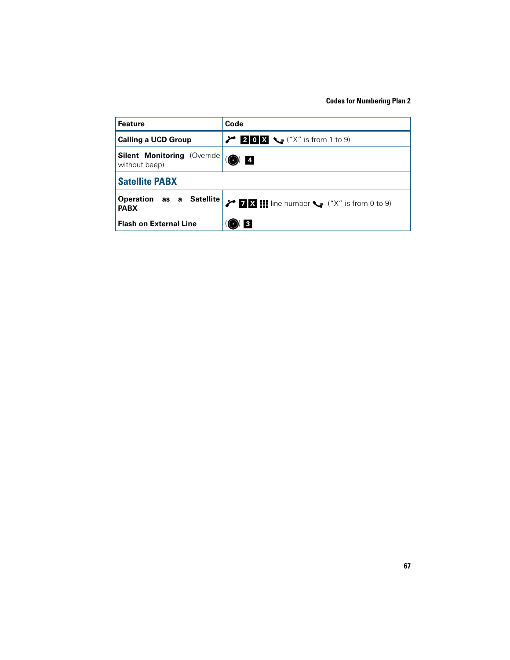| <b>Feature</b>                                       | Code                                                          |  |
|------------------------------------------------------|---------------------------------------------------------------|--|
| <b>Calling a UCD Group</b>                           | 20 $X \sim$ ("X" is from 1 to 9)                              |  |
| <b>Silent Monitoring (Override)</b><br>without beep) | $\overline{\mathbf{4}}$<br>$\rightarrow$                      |  |
| <b>Satellite PABX</b>                                |                                                               |  |
| Operation as a Satellite<br><b>PABX</b>              | $\angle$ <b>ZX ii</b> line number $\leq$ ("X" is from 0 to 9) |  |
| <b>Flash on External Line</b>                        | 3                                                             |  |